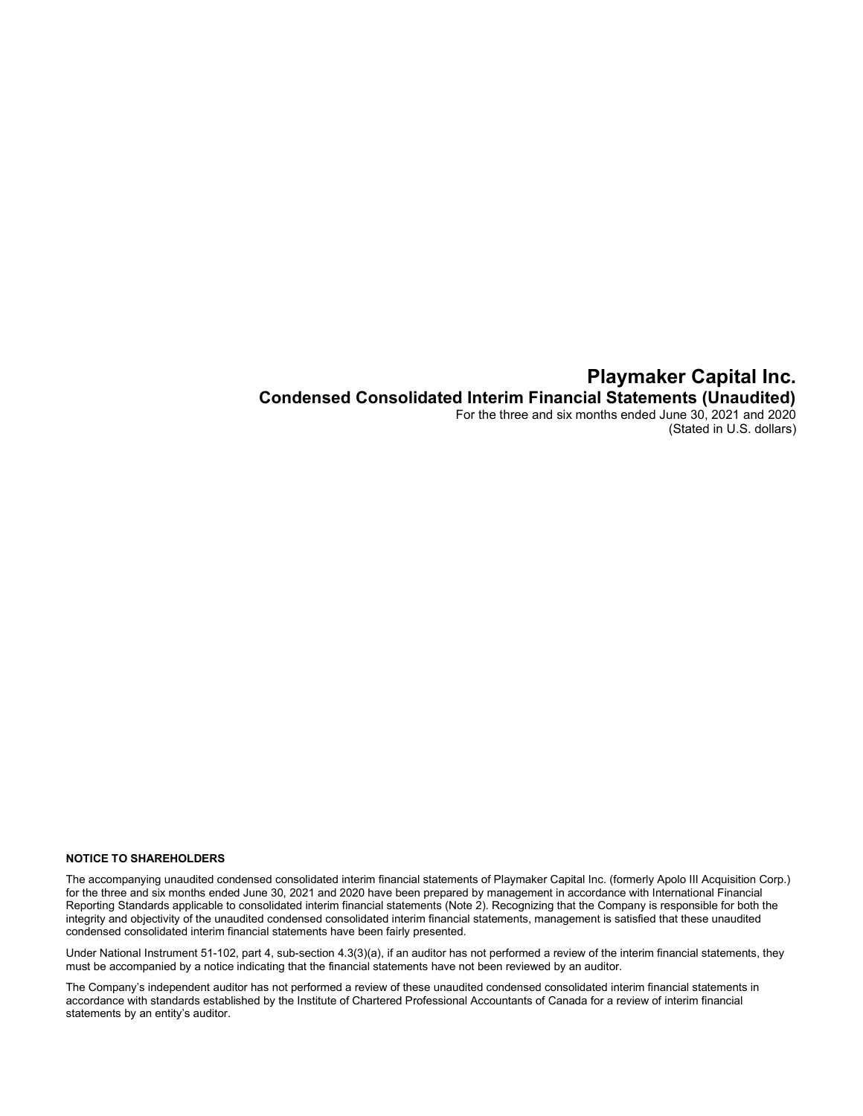## Playmaker Capital Inc. Condensed Consolidated Interim Financial Statements (Unaudited) For the three and six months ended June 30, 2021 and 2020 (Stated in U.S. dollars)

#### NOTICE TO SHAREHOLDERS

The accompanying unaudited condensed consolidated interim financial statements of Playmaker Capital Inc. (formerly Apolo III Acquisition Corp.) for the three and six months ended June 30, 2021 and 2020 have been prepared by management in accordance with International Financial Reporting Standards applicable to consolidated interim financial statements (Note 2). Recognizing that the Company is responsible for both the integrity and objectivity of the unaudited condensed consolidated interim financial statements, management is satisfied that these unaudited condensed consolidated interim financial statements have been fairly presented.

Under National Instrument 51-102, part 4, sub-section 4.3(3)(a), if an auditor has not performed a review of the interim financial statements, they must be accompanied by a notice indicating that the financial statements have not been reviewed by an auditor.

The Company's independent auditor has not performed a review of these unaudited condensed consolidated interim financial statements in accordance with standards established by the Institute of Chartered Professional Accountants of Canada for a review of interim financial statements by an entity's auditor.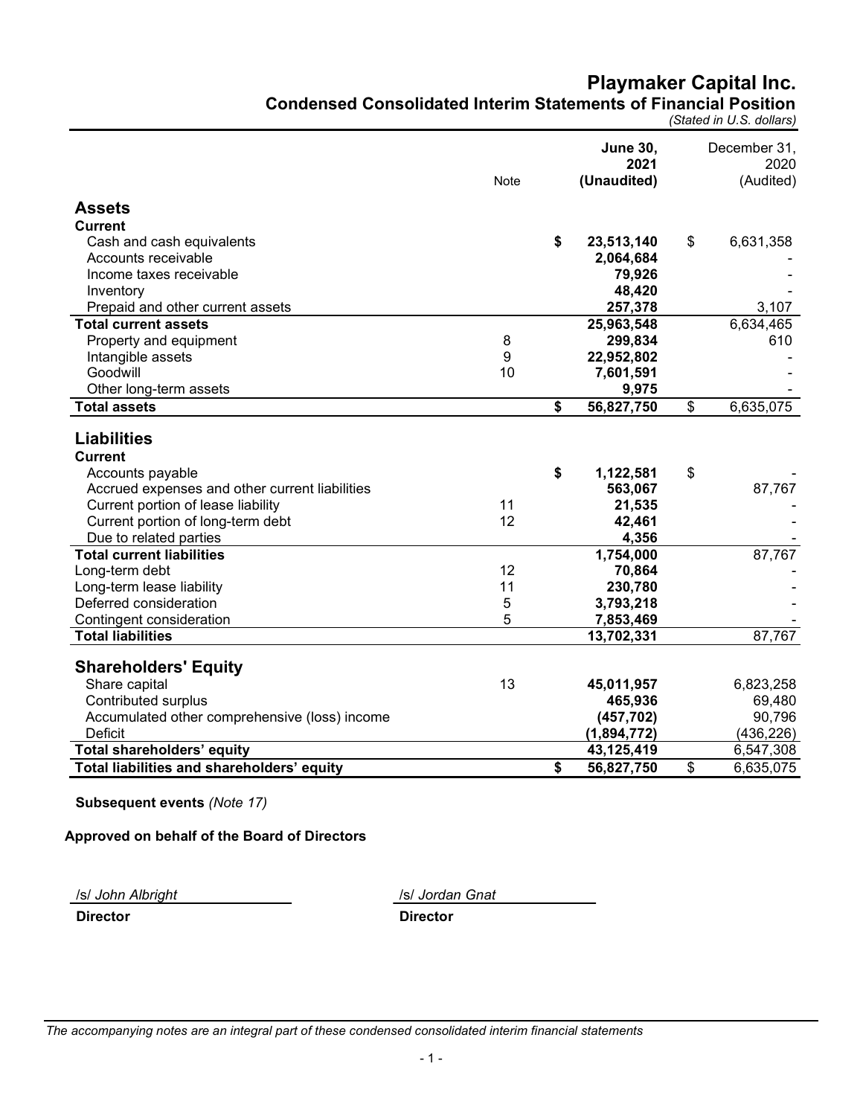# Playmaker Capital Inc. Condensed Consolidated Interim Statements of Financial Position

(Stated in U.S. dollars)

|                                                | Note | <b>June 30,</b><br>2021<br>(Unaudited) | December 31,<br>2020<br>(Audited) |
|------------------------------------------------|------|----------------------------------------|-----------------------------------|
| <b>Assets</b>                                  |      |                                        |                                   |
| <b>Current</b>                                 |      |                                        |                                   |
| Cash and cash equivalents                      |      | \$<br>23,513,140                       | \$<br>6,631,358                   |
| Accounts receivable                            |      | 2,064,684                              |                                   |
| Income taxes receivable                        |      | 79,926                                 |                                   |
| Inventory                                      |      | 48,420                                 |                                   |
| Prepaid and other current assets               |      | 257,378                                | 3,107                             |
| <b>Total current assets</b>                    |      | 25,963,548                             | 6,634,465                         |
| Property and equipment                         | 8    | 299,834                                | 610                               |
| Intangible assets                              | 9    | 22,952,802                             |                                   |
| Goodwill                                       | 10   | 7,601,591                              |                                   |
| Other long-term assets                         |      | 9,975                                  |                                   |
| Total assets                                   |      | \$<br>56,827,750                       | \$<br>6,635,075                   |
| <b>Liabilities</b><br><b>Current</b>           |      |                                        |                                   |
| Accounts payable                               |      | \$<br>1,122,581                        | \$                                |
| Accrued expenses and other current liabilities |      | 563,067                                | 87,767                            |
| Current portion of lease liability             | 11   | 21,535                                 |                                   |
| Current portion of long-term debt              | 12   | 42,461                                 |                                   |
| Due to related parties                         |      | 4,356                                  |                                   |
| <b>Total current liabilities</b>               |      | 1,754,000                              | 87,767                            |
| Long-term debt                                 | 12   | 70,864                                 |                                   |
| Long-term lease liability                      | 11   | 230,780                                |                                   |
| Deferred consideration                         | 5    | 3,793,218                              |                                   |
| Contingent consideration                       | 5    | 7,853,469                              |                                   |
| <b>Total liabilities</b>                       |      | 13,702,331                             | 87,767                            |
| <b>Shareholders' Equity</b>                    |      |                                        |                                   |
| Share capital                                  | 13   | 45,011,957                             | 6,823,258                         |
| <b>Contributed surplus</b>                     |      | 465,936                                | 69,480                            |
| Accumulated other comprehensive (loss) income  |      | (457, 702)                             | 90,796                            |
| <b>Deficit</b>                                 |      | (1,894,772)                            | (436, 226)                        |
| Total shareholders' equity                     |      | 43,125,419                             | 6,547,308                         |
| Total liabilities and shareholders' equity     |      | \$<br>56,827,750                       | \$<br>6,635,075                   |

Subsequent events (Note 17)

Approved on behalf of the Board of Directors

/s/ John Albright /s/ Jordan Gnat

Director Director

The accompanying notes are an integral part of these condensed consolidated interim financial statements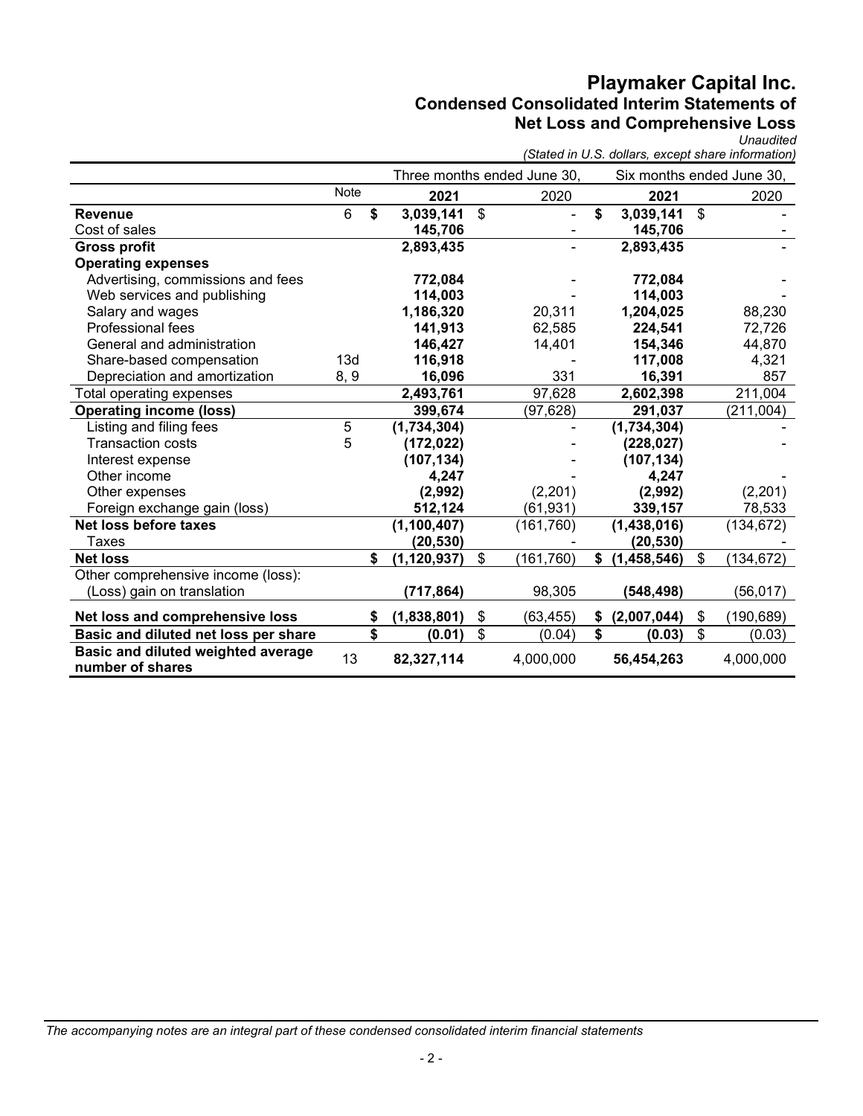# Playmaker Capital Inc. Condensed Consolidated Interim Statements of Net Loss and Comprehensive Loss

Unaudited

|                                                        |             |                     |                           |                             |                           |                | (Stated in U.S. dollars, except share information) |
|--------------------------------------------------------|-------------|---------------------|---------------------------|-----------------------------|---------------------------|----------------|----------------------------------------------------|
|                                                        |             |                     |                           | Three months ended June 30, | Six months ended June 30, |                |                                                    |
|                                                        | Note        | 2021                |                           | 2020                        | 2021                      |                | 2020                                               |
| <b>Revenue</b>                                         | 6           | \$<br>3,039,141     | $\boldsymbol{\mathsf{S}}$ |                             | \$<br>3,039,141           | $\mathfrak{S}$ |                                                    |
| Cost of sales                                          |             | 145,706             |                           |                             | 145,706                   |                |                                                    |
| <b>Gross profit</b>                                    |             | 2,893,435           |                           |                             | 2,893,435                 |                |                                                    |
| <b>Operating expenses</b>                              |             |                     |                           |                             |                           |                |                                                    |
| Advertising, commissions and fees                      |             | 772,084             |                           |                             | 772,084                   |                |                                                    |
| Web services and publishing                            |             | 114,003             |                           |                             | 114,003                   |                |                                                    |
| Salary and wages                                       |             | 1,186,320           |                           | 20,311                      | 1,204,025                 |                | 88,230                                             |
| <b>Professional fees</b>                               |             | 141,913             |                           | 62,585                      | 224,541                   |                | 72,726                                             |
| General and administration                             |             | 146,427             |                           | 14,401                      | 154,346                   |                | 44,870                                             |
| Share-based compensation                               | 13d         | 116,918             |                           |                             | 117,008                   |                | 4,321                                              |
| Depreciation and amortization                          | 8, 9        | 16,096              |                           | 331                         | 16,391                    |                | 857                                                |
| Total operating expenses                               |             | 2,493,761           |                           | 97,628                      | 2,602,398                 |                | 211,004                                            |
| <b>Operating income (loss)</b>                         |             | 399,674             |                           | (97, 628)                   | 291,037                   |                | (211, 004)                                         |
| Listing and filing fees                                | $\mathbf 5$ | (1,734,304)         |                           |                             | (1,734,304)               |                |                                                    |
| <b>Transaction costs</b>                               | 5           | (172, 022)          |                           |                             | (228, 027)                |                |                                                    |
| Interest expense                                       |             | (107, 134)          |                           |                             | (107, 134)                |                |                                                    |
| Other income                                           |             | 4,247               |                           |                             | 4,247                     |                |                                                    |
| Other expenses                                         |             | (2,992)             |                           | (2,201)                     | (2,992)                   |                | (2,201)                                            |
| Foreign exchange gain (loss)                           |             | 512,124             |                           | (61, 931)                   | 339,157                   |                | 78,533                                             |
| Net loss before taxes                                  |             | (1, 100, 407)       |                           | (161, 760)                  | (1,438,016)               |                | (134, 672)                                         |
| <b>Taxes</b>                                           |             | (20, 530)           |                           |                             | (20, 530)                 |                |                                                    |
| <b>Net loss</b>                                        |             | \$<br>(1, 120, 937) | \$                        | (161, 760)                  | \$<br>(1,458,546)         | \$             | (134, 672)                                         |
| Other comprehensive income (loss):                     |             |                     |                           |                             |                           |                |                                                    |
| (Loss) gain on translation                             |             | (717, 864)          |                           | 98,305                      | (548, 498)                |                | (56, 017)                                          |
| Net loss and comprehensive loss                        |             | \$<br>(1,838,801)   | \$                        | (63, 455)                   | \$<br>(2,007,044)         | \$             | (190, 689)                                         |
| Basic and diluted net loss per share                   |             | \$<br>(0.01)        | \$                        | (0.04)                      | \$<br>(0.03)              | \$             | (0.03)                                             |
| Basic and diluted weighted average<br>number of shares | 13          | 82,327,114          |                           | 4,000,000                   | 56,454,263                |                | 4,000,000                                          |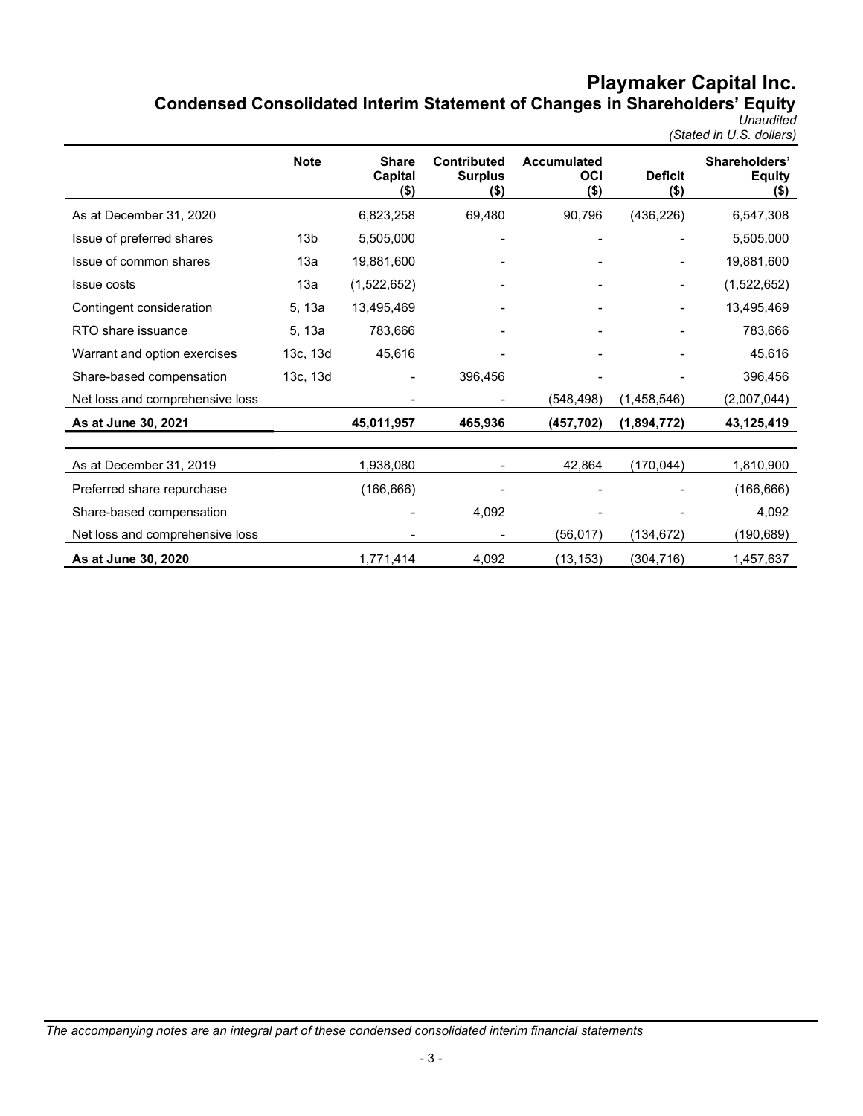# Playmaker Capital Inc. Condensed Consolidated Interim Statement of Changes in Shareholders' Equity

Unaudited (Stated in U.S. dollars)

|                                 | <b>Note</b>     | <b>Share</b><br>Capital<br>$($ \$) | <b>Contributed</b><br><b>Surplus</b><br>(\$) | <b>Accumulated</b><br>OCI<br>$($ \$) | <b>Deficit</b><br>$($ \$) | Shareholders'<br><b>Equity</b><br>$($ \$) |
|---------------------------------|-----------------|------------------------------------|----------------------------------------------|--------------------------------------|---------------------------|-------------------------------------------|
| As at December 31, 2020         |                 | 6,823,258                          | 69,480                                       | 90,796                               | (436, 226)                | 6,547,308                                 |
| Issue of preferred shares       | 13 <sub>b</sub> | 5,505,000                          |                                              |                                      |                           | 5,505,000                                 |
| Issue of common shares          | 13a             | 19,881,600                         |                                              |                                      |                           | 19,881,600                                |
| <b>Issue costs</b>              | 13a             | (1,522,652)                        |                                              |                                      | $\blacksquare$            | (1,522,652)                               |
| Contingent consideration        | 5, 13a          | 13,495,469                         |                                              |                                      |                           | 13,495,469                                |
| RTO share issuance              | 5, 13a          | 783,666                            |                                              |                                      |                           | 783,666                                   |
| Warrant and option exercises    | 13c, 13d        | 45,616                             |                                              |                                      |                           | 45,616                                    |
| Share-based compensation        | 13c, 13d        |                                    | 396,456                                      |                                      |                           | 396,456                                   |
| Net loss and comprehensive loss |                 |                                    |                                              | (548,498)                            | (1,458,546)               | (2,007,044)                               |
| As at June 30, 2021             |                 | 45,011,957                         | 465,936                                      | (457, 702)                           | (1,894,772)               | 43,125,419                                |
|                                 |                 |                                    |                                              |                                      |                           |                                           |
| As at December 31, 2019         |                 | 1,938,080                          |                                              | 42,864                               | (170,044)                 | 1,810,900                                 |
| Preferred share repurchase      |                 | (166, 666)                         |                                              |                                      |                           | (166, 666)                                |
| Share-based compensation        |                 |                                    | 4,092                                        |                                      |                           | 4,092                                     |
| Net loss and comprehensive loss |                 |                                    |                                              | (56,017)                             | (134,672)                 | (190, 689)                                |
| As at June 30, 2020             |                 | 1,771,414                          | 4,092                                        | (13, 153)                            | (304, 716)                | 1,457,637                                 |

The accompanying notes are an integral part of these condensed consolidated interim financial statements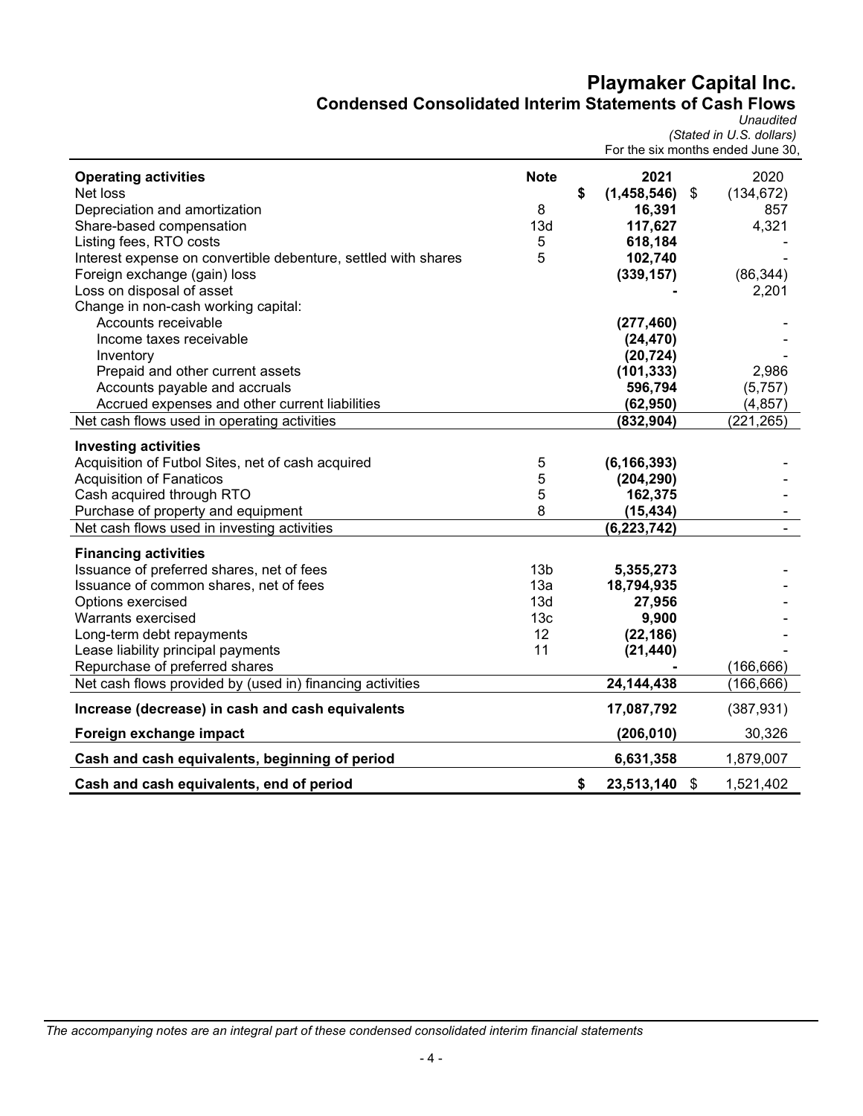# Playmaker Capital Inc. Condensed Consolidated Interim Statements of Cash Flows

**Unaudited** 

|                                                                |                 | For the six months ended June 30, | (Stated in U.S. dollars) |
|----------------------------------------------------------------|-----------------|-----------------------------------|--------------------------|
| <b>Operating activities</b>                                    | <b>Note</b>     | 2021                              | 2020                     |
| Net loss                                                       |                 | \$<br>(1,458,546)                 | \$<br>(134, 672)         |
| Depreciation and amortization                                  | 8               | 16,391                            | 857                      |
| Share-based compensation                                       | 13d             | 117,627                           | 4,321                    |
| Listing fees, RTO costs                                        | 5               | 618,184                           |                          |
| Interest expense on convertible debenture, settled with shares | 5               | 102,740                           |                          |
| Foreign exchange (gain) loss                                   |                 | (339, 157)                        | (86, 344)                |
| Loss on disposal of asset                                      |                 |                                   | 2,201                    |
| Change in non-cash working capital:                            |                 |                                   |                          |
| Accounts receivable                                            |                 | (277, 460)                        |                          |
| Income taxes receivable                                        |                 | (24, 470)                         |                          |
| Inventory                                                      |                 | (20, 724)                         |                          |
| Prepaid and other current assets                               |                 | (101, 333)                        | 2,986                    |
| Accounts payable and accruals                                  |                 | 596,794                           | (5,757)                  |
| Accrued expenses and other current liabilities                 |                 | (62, 950)                         | (4, 857)                 |
| Net cash flows used in operating activities                    |                 | (832, 904)                        | (221, 265)               |
| <b>Investing activities</b>                                    |                 |                                   |                          |
| Acquisition of Futbol Sites, net of cash acquired              | 5               | (6, 166, 393)                     |                          |
| <b>Acquisition of Fanaticos</b>                                | 5               | (204, 290)                        |                          |
| Cash acquired through RTO                                      | 5               | 162,375                           |                          |
| Purchase of property and equipment                             | 8               | (15, 434)                         |                          |
| Net cash flows used in investing activities                    |                 | (6, 223, 742)                     |                          |
|                                                                |                 |                                   |                          |
| <b>Financing activities</b>                                    |                 |                                   |                          |
| Issuance of preferred shares, net of fees                      | 13 <sub>b</sub> | 5,355,273                         |                          |
| Issuance of common shares, net of fees                         | 13a             | 18,794,935                        |                          |
| Options exercised                                              | 13d             | 27,956                            |                          |
| Warrants exercised                                             | 13 <sub>c</sub> | 9,900                             |                          |
| Long-term debt repayments                                      | 12              | (22, 186)                         |                          |
| Lease liability principal payments                             | 11              | (21, 440)                         |                          |
| Repurchase of preferred shares                                 |                 |                                   | (166, 666)               |
| Net cash flows provided by (used in) financing activities      |                 | 24, 144, 438                      | (166, 666)               |
| Increase (decrease) in cash and cash equivalents               |                 | 17,087,792                        | (387, 931)               |
| Foreign exchange impact                                        |                 | (206, 010)                        | 30,326                   |
| Cash and cash equivalents, beginning of period                 |                 | 6,631,358                         | 1,879,007                |
| Cash and cash equivalents, end of period                       |                 | \$<br>23,513,140 \$               | 1,521,402                |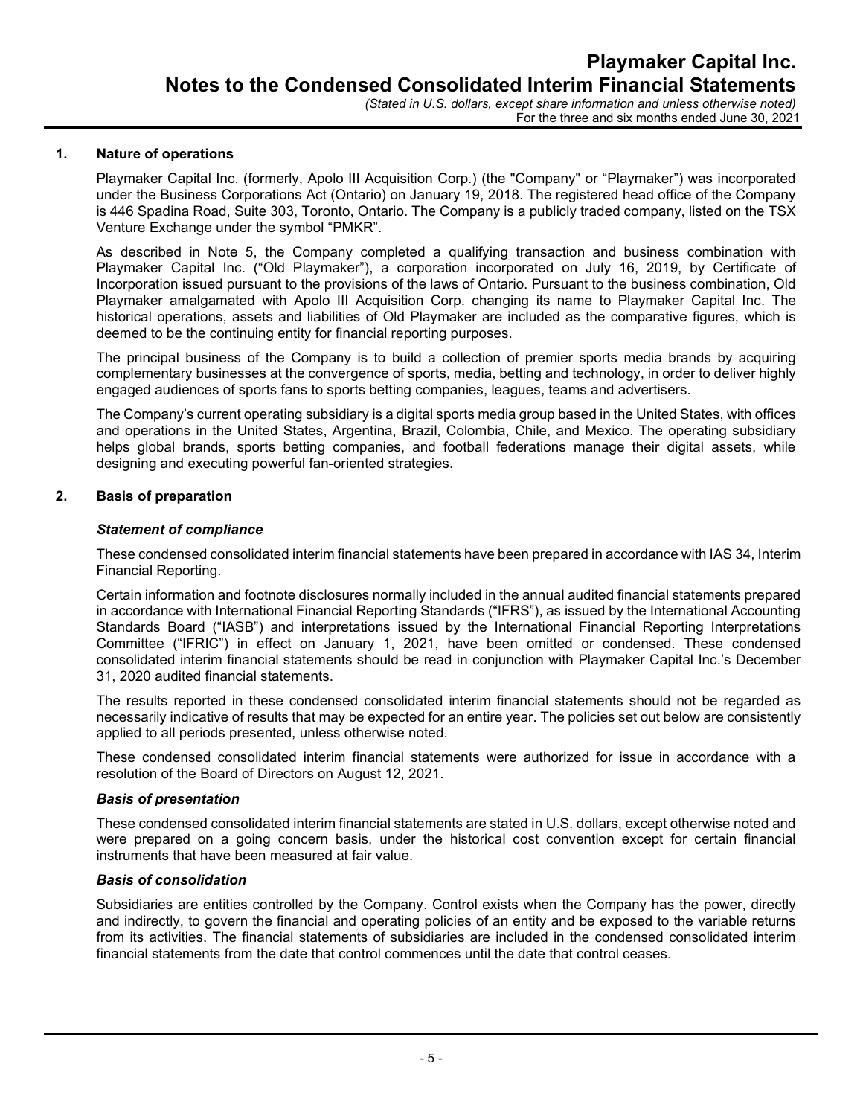For the three and six months ended June 30, 2021

### 1. Nature of operations

Playmaker Capital Inc. (formerly, Apolo III Acquisition Corp.) (the "Company" or "Playmaker") was incorporated under the Business Corporations Act (Ontario) on January 19, 2018. The registered head office of the Company is 446 Spadina Road, Suite 303, Toronto, Ontario. The Company is a publicly traded company, listed on the TSX Venture Exchange under the symbol "PMKR".

As described in Note 5, the Company completed a qualifying transaction and business combination with Playmaker Capital Inc. ("Old Playmaker"), a corporation incorporated on July 16, 2019, by Certificate of Incorporation issued pursuant to the provisions of the laws of Ontario. Pursuant to the business combination, Old Playmaker amalgamated with Apolo III Acquisition Corp. changing its name to Playmaker Capital Inc. The historical operations, assets and liabilities of Old Playmaker are included as the comparative figures, which is deemed to be the continuing entity for financial reporting purposes.

The principal business of the Company is to build a collection of premier sports media brands by acquiring complementary businesses at the convergence of sports, media, betting and technology, in order to deliver highly engaged audiences of sports fans to sports betting companies, leagues, teams and advertisers.

The Company's current operating subsidiary is a digital sports media group based in the United States, with offices and operations in the United States, Argentina, Brazil, Colombia, Chile, and Mexico. The operating subsidiary helps global brands, sports betting companies, and football federations manage their digital assets, while designing and executing powerful fan-oriented strategies.

# 2. Basis of preparation

#### Statement of compliance

These condensed consolidated interim financial statements have been prepared in accordance with IAS 34, Interim Financial Reporting.

Certain information and footnote disclosures normally included in the annual audited financial statements prepared in accordance with International Financial Reporting Standards ("IFRS"), as issued by the International Accounting Standards Board ("IASB") and interpretations issued by the International Financial Reporting Interpretations Committee ("IFRIC") in effect on January 1, 2021, have been omitted or condensed. These condensed consolidated interim financial statements should be read in conjunction with Playmaker Capital Inc.'s December 31, 2020 audited financial statements.

The results reported in these condensed consolidated interim financial statements should not be regarded as necessarily indicative of results that may be expected for an entire year. The policies set out below are consistently applied to all periods presented, unless otherwise noted.

These condensed consolidated interim financial statements were authorized for issue in accordance with a resolution of the Board of Directors on August 12, 2021.

#### Basis of presentation

These condensed consolidated interim financial statements are stated in U.S. dollars, except otherwise noted and were prepared on a going concern basis, under the historical cost convention except for certain financial instruments that have been measured at fair value.

#### Basis of consolidation

Subsidiaries are entities controlled by the Company. Control exists when the Company has the power, directly and indirectly, to govern the financial and operating policies of an entity and be exposed to the variable returns from its activities. The financial statements of subsidiaries are included in the condensed consolidated interim financial statements from the date that control commences until the date that control ceases.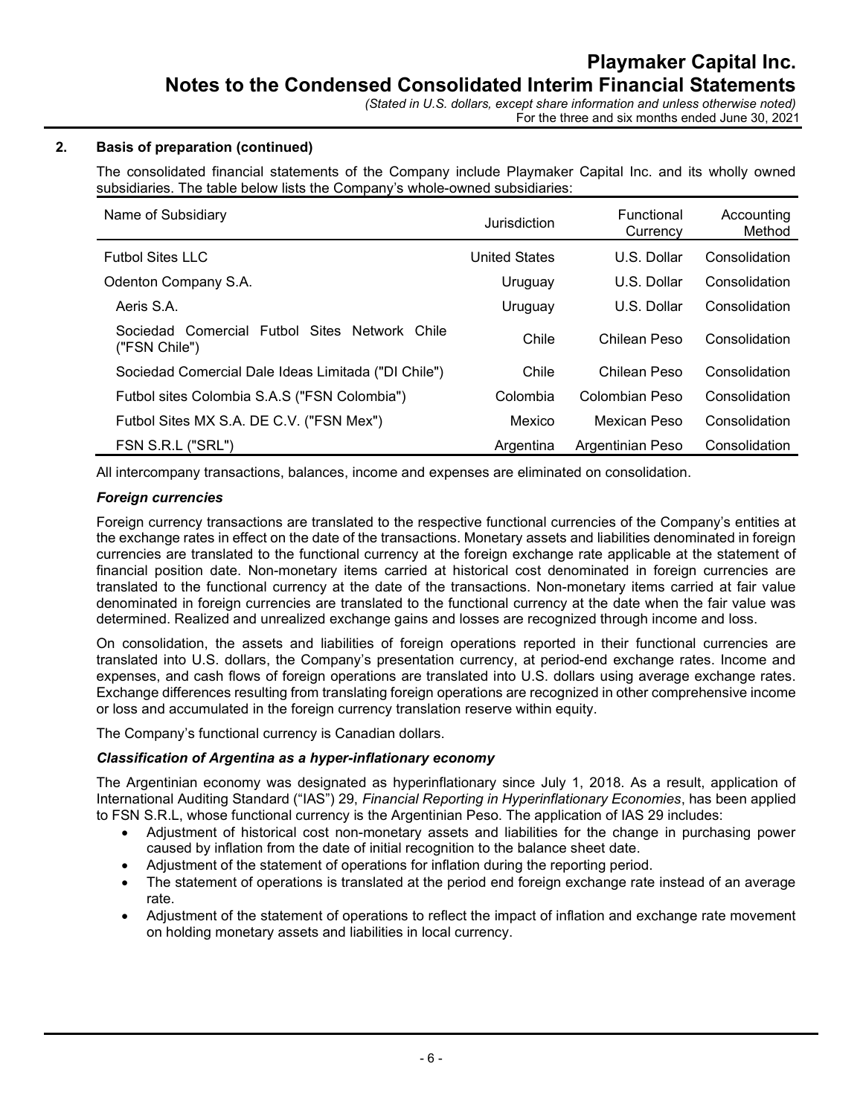# 2. Basis of preparation (continued)

The consolidated financial statements of the Company include Playmaker Capital Inc. and its wholly owned subsidiaries. The table below lists the Company's whole-owned subsidiaries:

| Name of Subsidiary<br>Jurisdiction                             |                      | Functional<br>Currency | Accounting<br>Method |
|----------------------------------------------------------------|----------------------|------------------------|----------------------|
| <b>Futbol Sites LLC</b>                                        | <b>United States</b> | U.S. Dollar            | Consolidation        |
| Odenton Company S.A.                                           | Uruguay              | U.S. Dollar            | Consolidation        |
| Aeris S.A.                                                     | Uruguay              | U.S. Dollar            | Consolidation        |
| Sociedad Comercial Futbol Sites Network Chile<br>("FSN Chile") | Chile                | Chilean Peso           | Consolidation        |
| Sociedad Comercial Dale Ideas Limitada ("DI Chile")            | Chile                | Chilean Peso           | Consolidation        |
| Futbol sites Colombia S.A.S ("FSN Colombia")                   | Colombia             | Colombian Peso         | Consolidation        |
| Futbol Sites MX S.A. DE C.V. ("FSN Mex")                       | Mexico               | Mexican Peso           | Consolidation        |
| FSN S.R.L ("SRL")                                              | Argentina            | Argentinian Peso       | Consolidation        |

All intercompany transactions, balances, income and expenses are eliminated on consolidation.

## Foreign currencies

Foreign currency transactions are translated to the respective functional currencies of the Company's entities at the exchange rates in effect on the date of the transactions. Monetary assets and liabilities denominated in foreign currencies are translated to the functional currency at the foreign exchange rate applicable at the statement of financial position date. Non-monetary items carried at historical cost denominated in foreign currencies are translated to the functional currency at the date of the transactions. Non-monetary items carried at fair value denominated in foreign currencies are translated to the functional currency at the date when the fair value was determined. Realized and unrealized exchange gains and losses are recognized through income and loss.

On consolidation, the assets and liabilities of foreign operations reported in their functional currencies are translated into U.S. dollars, the Company's presentation currency, at period-end exchange rates. Income and expenses, and cash flows of foreign operations are translated into U.S. dollars using average exchange rates. Exchange differences resulting from translating foreign operations are recognized in other comprehensive income or loss and accumulated in the foreign currency translation reserve within equity.

The Company's functional currency is Canadian dollars.

# Classification of Argentina as a hyper-inflationary economy

The Argentinian economy was designated as hyperinflationary since July 1, 2018. As a result, application of International Auditing Standard ("IAS") 29, Financial Reporting in Hyperinflationary Economies, has been applied to FSN S.R.L, whose functional currency is the Argentinian Peso. The application of IAS 29 includes:

- Adjustment of historical cost non-monetary assets and liabilities for the change in purchasing power caused by inflation from the date of initial recognition to the balance sheet date.
- Adjustment of the statement of operations for inflation during the reporting period.
- The statement of operations is translated at the period end foreign exchange rate instead of an average rate.
- Adjustment of the statement of operations to reflect the impact of inflation and exchange rate movement on holding monetary assets and liabilities in local currency.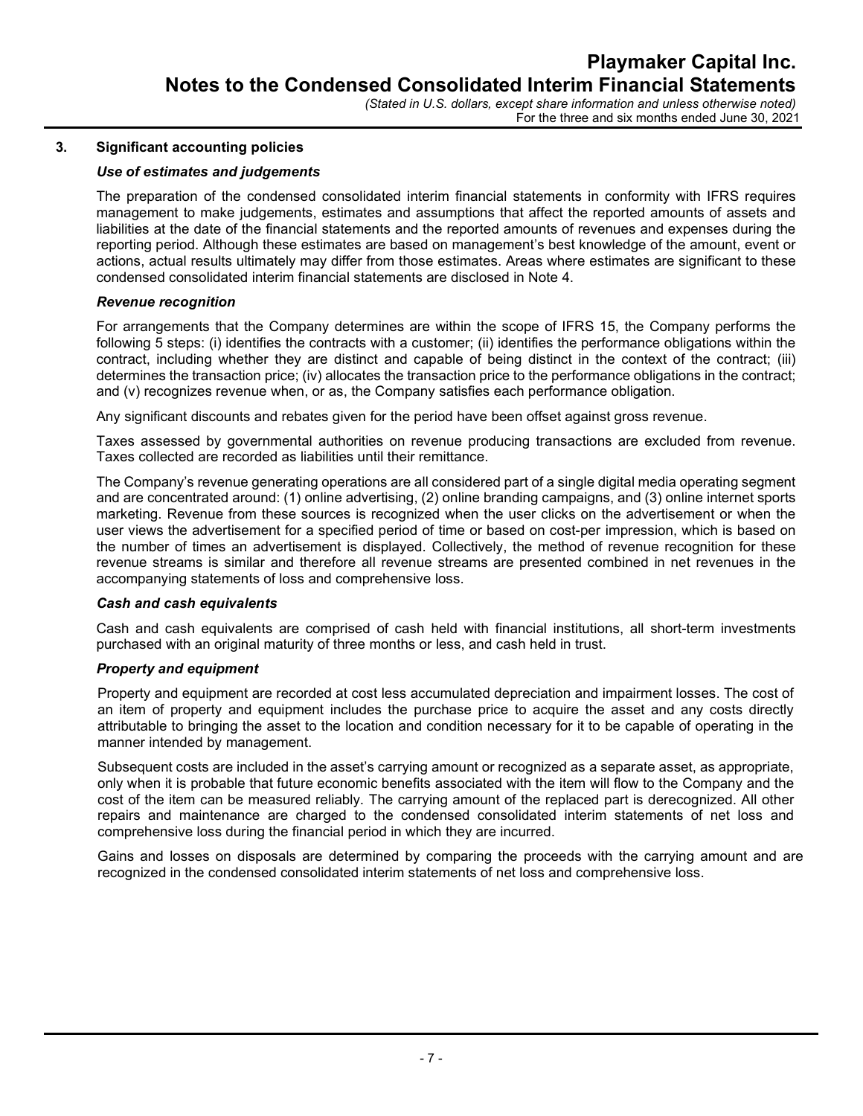### 3. Significant accounting policies

## Use of estimates and judgements

The preparation of the condensed consolidated interim financial statements in conformity with IFRS requires management to make judgements, estimates and assumptions that affect the reported amounts of assets and liabilities at the date of the financial statements and the reported amounts of revenues and expenses during the reporting period. Although these estimates are based on management's best knowledge of the amount, event or actions, actual results ultimately may differ from those estimates. Areas where estimates are significant to these condensed consolidated interim financial statements are disclosed in Note 4.

#### Revenue recognition

For arrangements that the Company determines are within the scope of IFRS 15, the Company performs the following 5 steps: (i) identifies the contracts with a customer; (ii) identifies the performance obligations within the contract, including whether they are distinct and capable of being distinct in the context of the contract; (iii) determines the transaction price; (iv) allocates the transaction price to the performance obligations in the contract; and (v) recognizes revenue when, or as, the Company satisfies each performance obligation.

Any significant discounts and rebates given for the period have been offset against gross revenue.

Taxes assessed by governmental authorities on revenue producing transactions are excluded from revenue. Taxes collected are recorded as liabilities until their remittance.

The Company's revenue generating operations are all considered part of a single digital media operating segment and are concentrated around: (1) online advertising, (2) online branding campaigns, and (3) online internet sports marketing. Revenue from these sources is recognized when the user clicks on the advertisement or when the user views the advertisement for a specified period of time or based on cost-per impression, which is based on the number of times an advertisement is displayed. Collectively, the method of revenue recognition for these revenue streams is similar and therefore all revenue streams are presented combined in net revenues in the accompanying statements of loss and comprehensive loss.

#### Cash and cash equivalents

Cash and cash equivalents are comprised of cash held with financial institutions, all short-term investments purchased with an original maturity of three months or less, and cash held in trust.

#### Property and equipment

Property and equipment are recorded at cost less accumulated depreciation and impairment losses. The cost of an item of property and equipment includes the purchase price to acquire the asset and any costs directly attributable to bringing the asset to the location and condition necessary for it to be capable of operating in the manner intended by management.

Subsequent costs are included in the asset's carrying amount or recognized as a separate asset, as appropriate, only when it is probable that future economic benefits associated with the item will flow to the Company and the cost of the item can be measured reliably. The carrying amount of the replaced part is derecognized. All other repairs and maintenance are charged to the condensed consolidated interim statements of net loss and comprehensive loss during the financial period in which they are incurred.

Gains and losses on disposals are determined by comparing the proceeds with the carrying amount and are recognized in the condensed consolidated interim statements of net loss and comprehensive loss.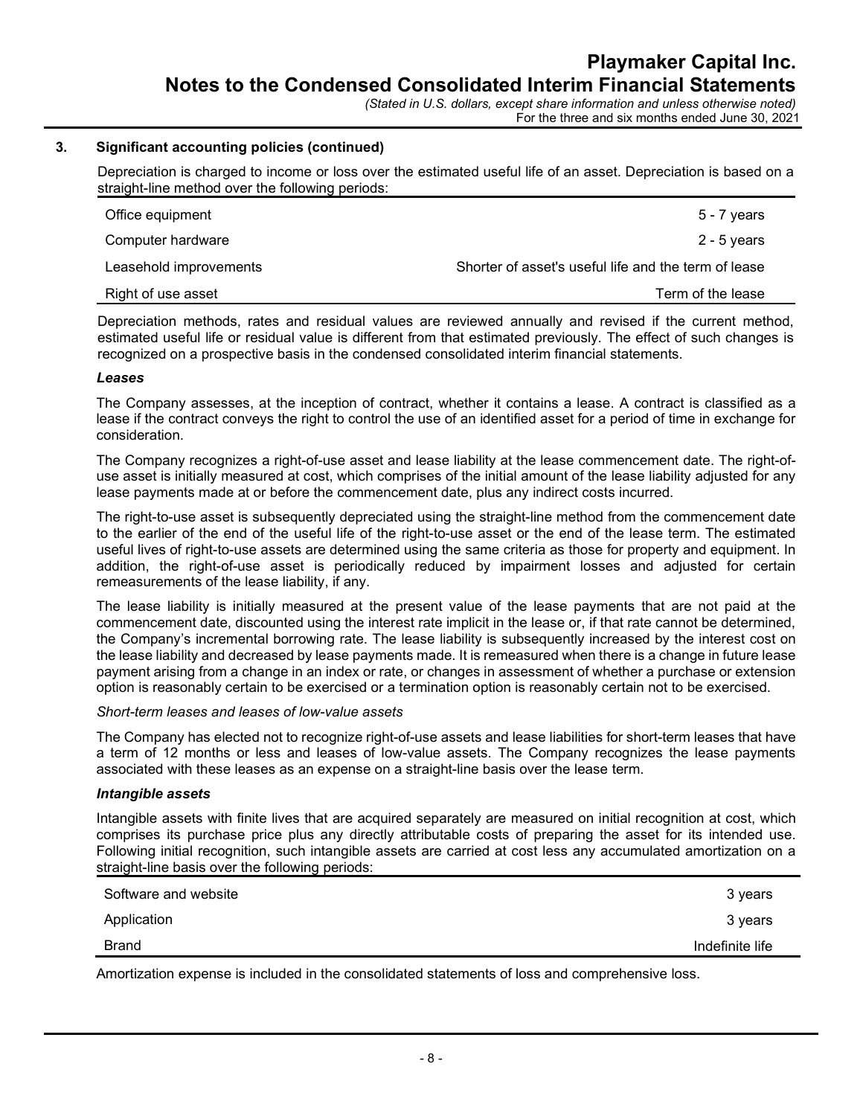#### 3. Significant accounting policies (continued)

Depreciation is charged to income or loss over the estimated useful life of an asset. Depreciation is based on a straight-line method over the following periods:

| Office equipment       | $5 - 7$ years                                        |
|------------------------|------------------------------------------------------|
| Computer hardware      | 2 - 5 years                                          |
| Leasehold improvements | Shorter of asset's useful life and the term of lease |
| Right of use asset     | Term of the lease                                    |

Depreciation methods, rates and residual values are reviewed annually and revised if the current method, estimated useful life or residual value is different from that estimated previously. The effect of such changes is recognized on a prospective basis in the condensed consolidated interim financial statements.

#### Leases

The Company assesses, at the inception of contract, whether it contains a lease. A contract is classified as a lease if the contract conveys the right to control the use of an identified asset for a period of time in exchange for consideration.

The Company recognizes a right-of-use asset and lease liability at the lease commencement date. The right-ofuse asset is initially measured at cost, which comprises of the initial amount of the lease liability adjusted for any lease payments made at or before the commencement date, plus any indirect costs incurred.

The right-to-use asset is subsequently depreciated using the straight-line method from the commencement date to the earlier of the end of the useful life of the right-to-use asset or the end of the lease term. The estimated useful lives of right-to-use assets are determined using the same criteria as those for property and equipment. In addition, the right-of-use asset is periodically reduced by impairment losses and adjusted for certain remeasurements of the lease liability, if any.

The lease liability is initially measured at the present value of the lease payments that are not paid at the commencement date, discounted using the interest rate implicit in the lease or, if that rate cannot be determined, the Company's incremental borrowing rate. The lease liability is subsequently increased by the interest cost on the lease liability and decreased by lease payments made. It is remeasured when there is a change in future lease payment arising from a change in an index or rate, or changes in assessment of whether a purchase or extension option is reasonably certain to be exercised or a termination option is reasonably certain not to be exercised.

#### Short-term leases and leases of low-value assets

The Company has elected not to recognize right-of-use assets and lease liabilities for short-term leases that have a term of 12 months or less and leases of low-value assets. The Company recognizes the lease payments associated with these leases as an expense on a straight-line basis over the lease term.

#### Intangible assets

Intangible assets with finite lives that are acquired separately are measured on initial recognition at cost, which comprises its purchase price plus any directly attributable costs of preparing the asset for its intended use. Following initial recognition, such intangible assets are carried at cost less any accumulated amortization on a straight-line basis over the following periods:

| Software and website | 3 years         |
|----------------------|-----------------|
| Application          | 3 years         |
| <b>Brand</b>         | Indefinite life |
|                      |                 |

Amortization expense is included in the consolidated statements of loss and comprehensive loss.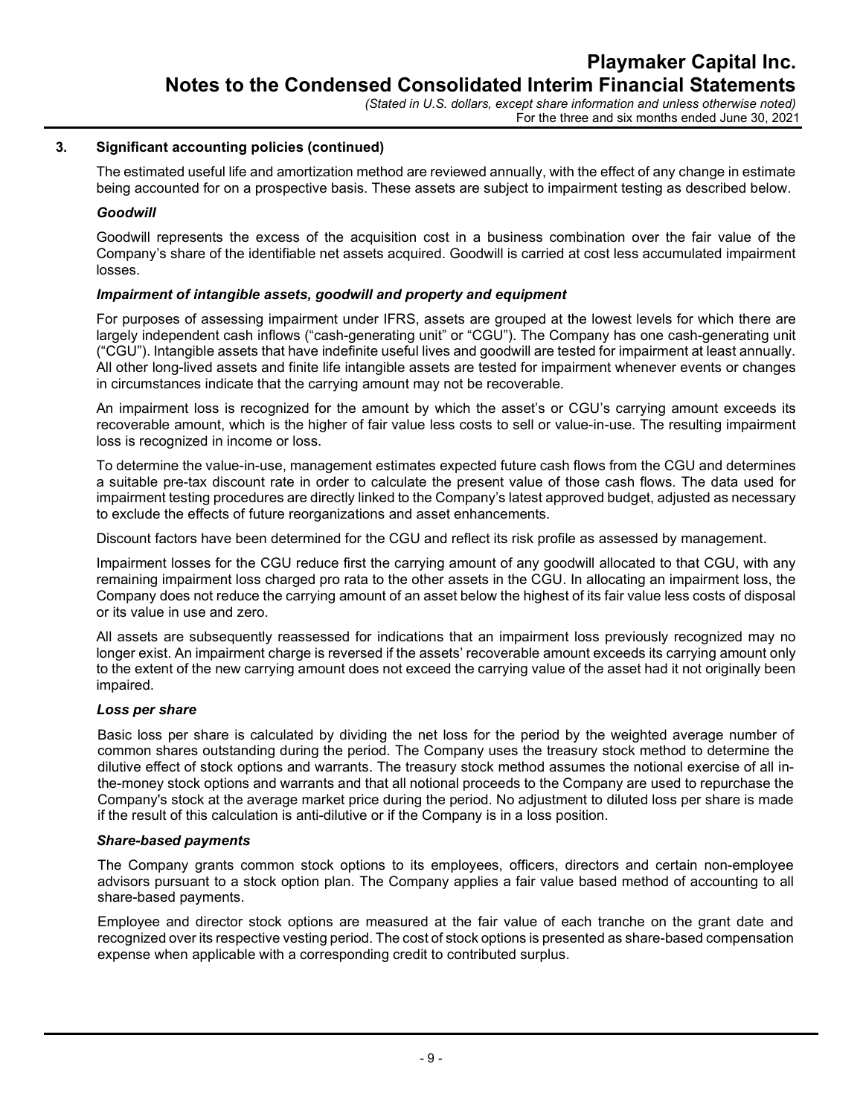## 3. Significant accounting policies (continued)

The estimated useful life and amortization method are reviewed annually, with the effect of any change in estimate being accounted for on a prospective basis. These assets are subject to impairment testing as described below.

### **Goodwill**

Goodwill represents the excess of the acquisition cost in a business combination over the fair value of the Company's share of the identifiable net assets acquired. Goodwill is carried at cost less accumulated impairment losses.

## Impairment of intangible assets, goodwill and property and equipment

For purposes of assessing impairment under IFRS, assets are grouped at the lowest levels for which there are largely independent cash inflows ("cash-generating unit" or "CGU"). The Company has one cash-generating unit ("CGU"). Intangible assets that have indefinite useful lives and goodwill are tested for impairment at least annually. All other long-lived assets and finite life intangible assets are tested for impairment whenever events or changes in circumstances indicate that the carrying amount may not be recoverable.

An impairment loss is recognized for the amount by which the asset's or CGU's carrying amount exceeds its recoverable amount, which is the higher of fair value less costs to sell or value-in-use. The resulting impairment loss is recognized in income or loss.

To determine the value-in-use, management estimates expected future cash flows from the CGU and determines a suitable pre-tax discount rate in order to calculate the present value of those cash flows. The data used for impairment testing procedures are directly linked to the Company's latest approved budget, adjusted as necessary to exclude the effects of future reorganizations and asset enhancements.

Discount factors have been determined for the CGU and reflect its risk profile as assessed by management.

Impairment losses for the CGU reduce first the carrying amount of any goodwill allocated to that CGU, with any remaining impairment loss charged pro rata to the other assets in the CGU. In allocating an impairment loss, the Company does not reduce the carrying amount of an asset below the highest of its fair value less costs of disposal or its value in use and zero.

All assets are subsequently reassessed for indications that an impairment loss previously recognized may no longer exist. An impairment charge is reversed if the assets' recoverable amount exceeds its carrying amount only to the extent of the new carrying amount does not exceed the carrying value of the asset had it not originally been impaired.

#### Loss per share

Basic loss per share is calculated by dividing the net loss for the period by the weighted average number of common shares outstanding during the period. The Company uses the treasury stock method to determine the dilutive effect of stock options and warrants. The treasury stock method assumes the notional exercise of all inthe-money stock options and warrants and that all notional proceeds to the Company are used to repurchase the Company's stock at the average market price during the period. No adjustment to diluted loss per share is made if the result of this calculation is anti-dilutive or if the Company is in a loss position.

#### Share-based payments

The Company grants common stock options to its employees, officers, directors and certain non-employee advisors pursuant to a stock option plan. The Company applies a fair value based method of accounting to all share-based payments.

Employee and director stock options are measured at the fair value of each tranche on the grant date and recognized over its respective vesting period. The cost of stock options is presented as share-based compensation expense when applicable with a corresponding credit to contributed surplus.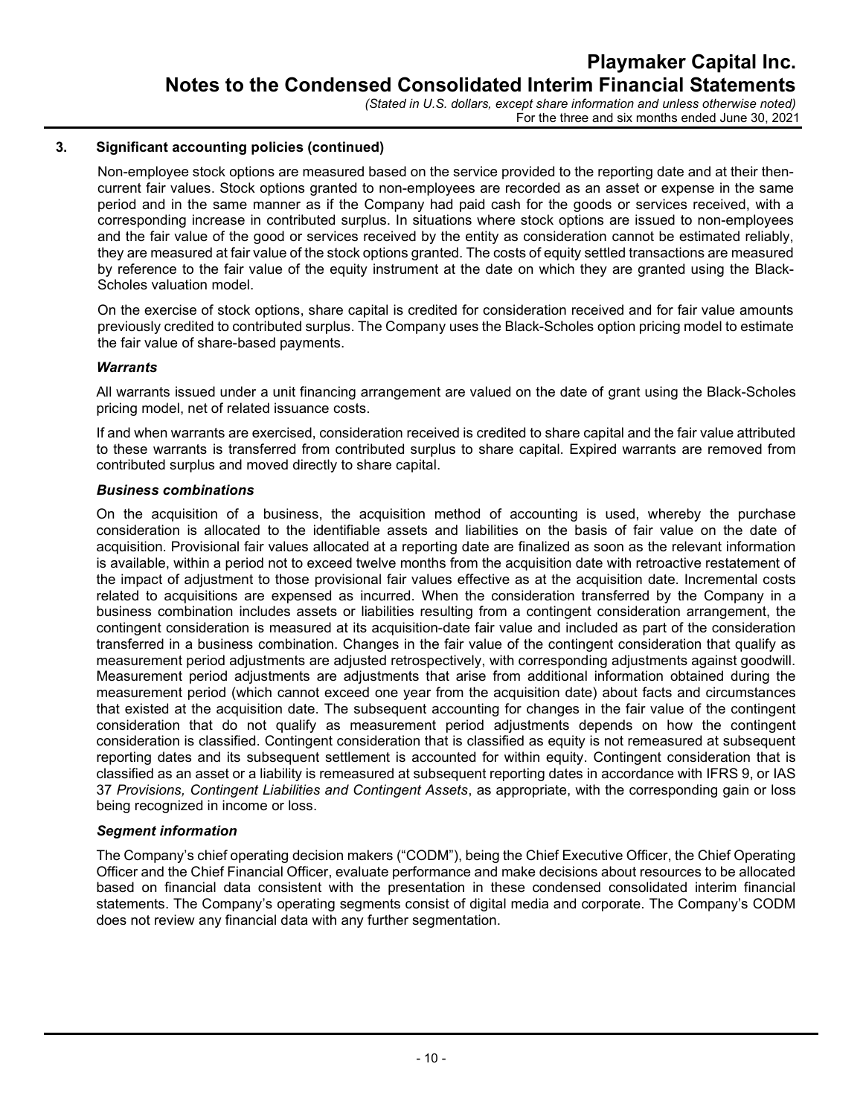## 3. Significant accounting policies (continued)

Non-employee stock options are measured based on the service provided to the reporting date and at their thencurrent fair values. Stock options granted to non-employees are recorded as an asset or expense in the same period and in the same manner as if the Company had paid cash for the goods or services received, with a corresponding increase in contributed surplus. In situations where stock options are issued to non-employees and the fair value of the good or services received by the entity as consideration cannot be estimated reliably, they are measured at fair value of the stock options granted. The costs of equity settled transactions are measured by reference to the fair value of the equity instrument at the date on which they are granted using the Black-Scholes valuation model.

On the exercise of stock options, share capital is credited for consideration received and for fair value amounts previously credited to contributed surplus. The Company uses the Black-Scholes option pricing model to estimate the fair value of share-based payments.

## **Warrants**

All warrants issued under a unit financing arrangement are valued on the date of grant using the Black-Scholes pricing model, net of related issuance costs.

If and when warrants are exercised, consideration received is credited to share capital and the fair value attributed to these warrants is transferred from contributed surplus to share capital. Expired warrants are removed from contributed surplus and moved directly to share capital.

#### Business combinations

On the acquisition of a business, the acquisition method of accounting is used, whereby the purchase consideration is allocated to the identifiable assets and liabilities on the basis of fair value on the date of acquisition. Provisional fair values allocated at a reporting date are finalized as soon as the relevant information is available, within a period not to exceed twelve months from the acquisition date with retroactive restatement of the impact of adjustment to those provisional fair values effective as at the acquisition date. Incremental costs related to acquisitions are expensed as incurred. When the consideration transferred by the Company in a business combination includes assets or liabilities resulting from a contingent consideration arrangement, the contingent consideration is measured at its acquisition-date fair value and included as part of the consideration transferred in a business combination. Changes in the fair value of the contingent consideration that qualify as measurement period adjustments are adjusted retrospectively, with corresponding adjustments against goodwill. Measurement period adjustments are adjustments that arise from additional information obtained during the measurement period (which cannot exceed one year from the acquisition date) about facts and circumstances that existed at the acquisition date. The subsequent accounting for changes in the fair value of the contingent consideration that do not qualify as measurement period adjustments depends on how the contingent consideration is classified. Contingent consideration that is classified as equity is not remeasured at subsequent reporting dates and its subsequent settlement is accounted for within equity. Contingent consideration that is classified as an asset or a liability is remeasured at subsequent reporting dates in accordance with IFRS 9, or IAS 37 Provisions, Contingent Liabilities and Contingent Assets, as appropriate, with the corresponding gain or loss being recognized in income or loss.

#### Segment information

The Company's chief operating decision makers ("CODM"), being the Chief Executive Officer, the Chief Operating Officer and the Chief Financial Officer, evaluate performance and make decisions about resources to be allocated based on financial data consistent with the presentation in these condensed consolidated interim financial statements. The Company's operating segments consist of digital media and corporate. The Company's CODM does not review any financial data with any further segmentation.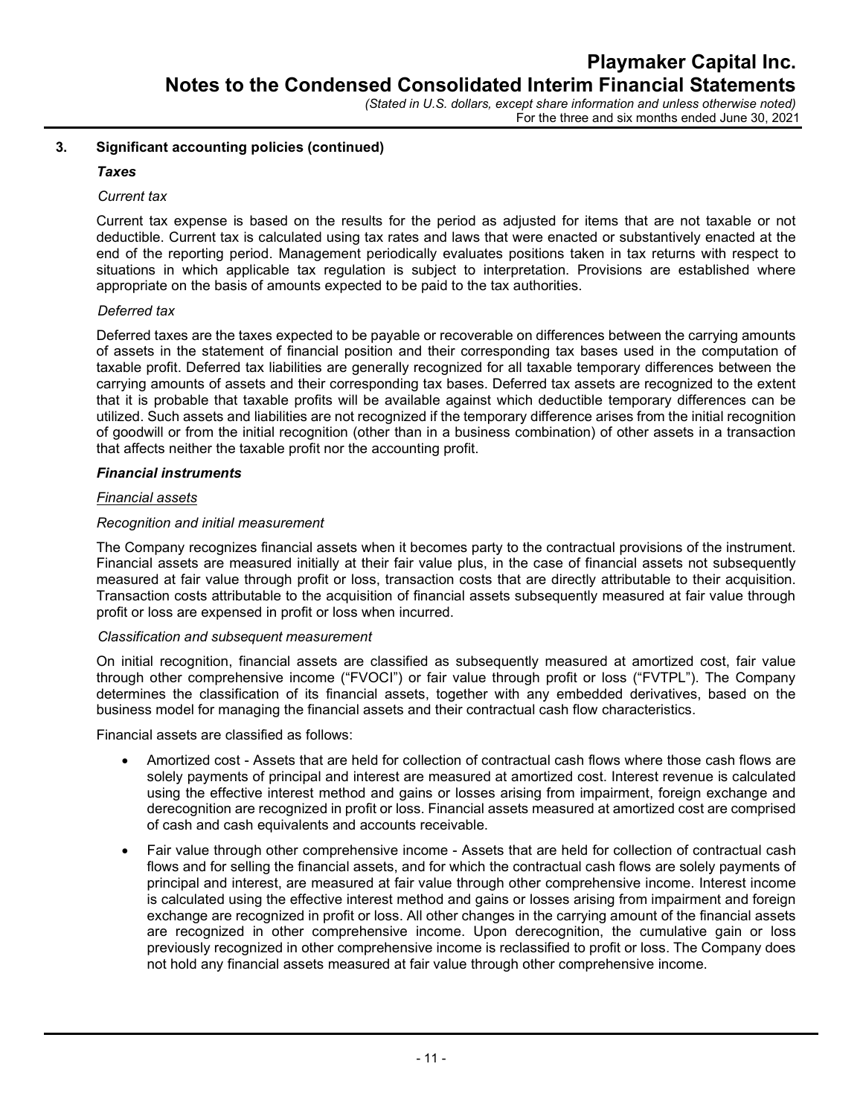For the three and six months ended June 30, 2021

# 3. Significant accounting policies (continued)

## Taxes

### Current tax

Current tax expense is based on the results for the period as adjusted for items that are not taxable or not deductible. Current tax is calculated using tax rates and laws that were enacted or substantively enacted at the end of the reporting period. Management periodically evaluates positions taken in tax returns with respect to situations in which applicable tax regulation is subject to interpretation. Provisions are established where appropriate on the basis of amounts expected to be paid to the tax authorities.

## Deferred tax

Deferred taxes are the taxes expected to be payable or recoverable on differences between the carrying amounts of assets in the statement of financial position and their corresponding tax bases used in the computation of taxable profit. Deferred tax liabilities are generally recognized for all taxable temporary differences between the carrying amounts of assets and their corresponding tax bases. Deferred tax assets are recognized to the extent that it is probable that taxable profits will be available against which deductible temporary differences can be utilized. Such assets and liabilities are not recognized if the temporary difference arises from the initial recognition of goodwill or from the initial recognition (other than in a business combination) of other assets in a transaction that affects neither the taxable profit nor the accounting profit.

## Financial instruments

## Financial assets

## Recognition and initial measurement

The Company recognizes financial assets when it becomes party to the contractual provisions of the instrument. Financial assets are measured initially at their fair value plus, in the case of financial assets not subsequently measured at fair value through profit or loss, transaction costs that are directly attributable to their acquisition. Transaction costs attributable to the acquisition of financial assets subsequently measured at fair value through profit or loss are expensed in profit or loss when incurred.

#### Classification and subsequent measurement

On initial recognition, financial assets are classified as subsequently measured at amortized cost, fair value through other comprehensive income ("FVOCI") or fair value through profit or loss ("FVTPL"). The Company determines the classification of its financial assets, together with any embedded derivatives, based on the business model for managing the financial assets and their contractual cash flow characteristics.

Financial assets are classified as follows:

- Amortized cost Assets that are held for collection of contractual cash flows where those cash flows are solely payments of principal and interest are measured at amortized cost. Interest revenue is calculated using the effective interest method and gains or losses arising from impairment, foreign exchange and derecognition are recognized in profit or loss. Financial assets measured at amortized cost are comprised of cash and cash equivalents and accounts receivable.
- Fair value through other comprehensive income Assets that are held for collection of contractual cash flows and for selling the financial assets, and for which the contractual cash flows are solely payments of principal and interest, are measured at fair value through other comprehensive income. Interest income is calculated using the effective interest method and gains or losses arising from impairment and foreign exchange are recognized in profit or loss. All other changes in the carrying amount of the financial assets are recognized in other comprehensive income. Upon derecognition, the cumulative gain or loss previously recognized in other comprehensive income is reclassified to profit or loss. The Company does not hold any financial assets measured at fair value through other comprehensive income.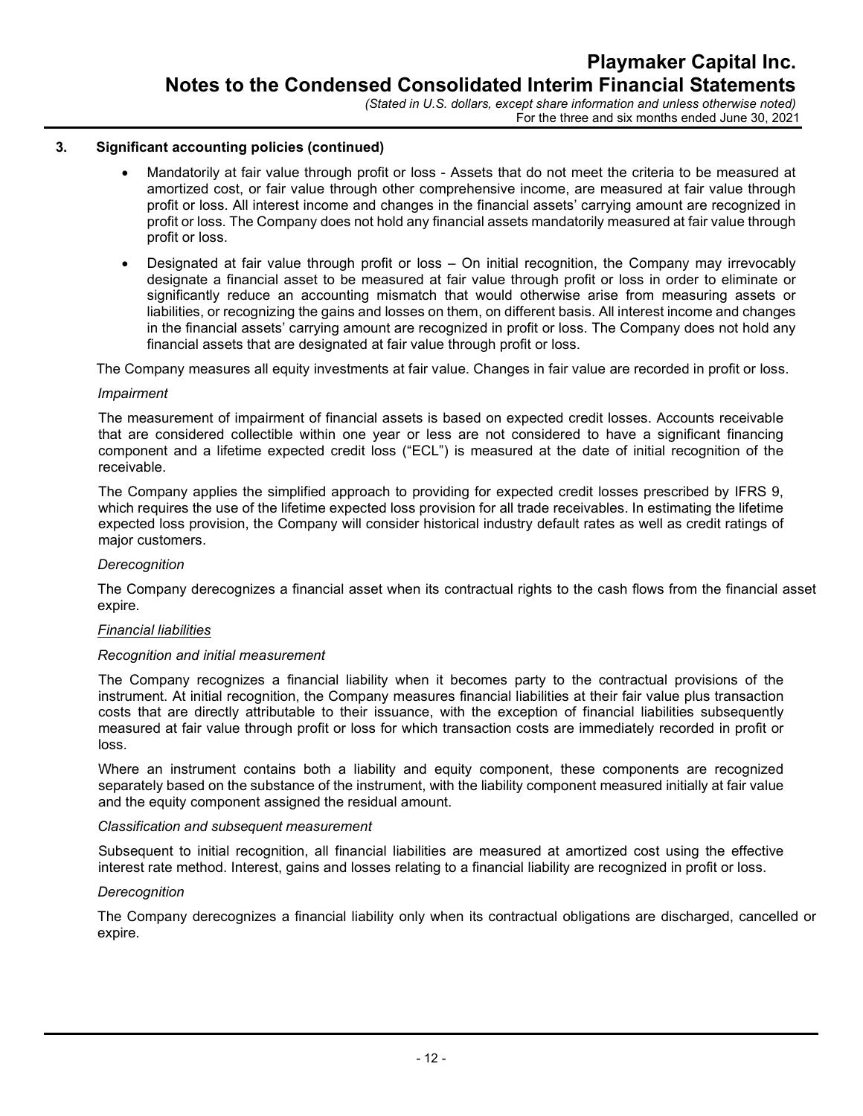### 3. Significant accounting policies (continued)

- Mandatorily at fair value through profit or loss Assets that do not meet the criteria to be measured at amortized cost, or fair value through other comprehensive income, are measured at fair value through profit or loss. All interest income and changes in the financial assets' carrying amount are recognized in profit or loss. The Company does not hold any financial assets mandatorily measured at fair value through profit or loss.
- Designated at fair value through profit or loss On initial recognition, the Company may irrevocably designate a financial asset to be measured at fair value through profit or loss in order to eliminate or significantly reduce an accounting mismatch that would otherwise arise from measuring assets or liabilities, or recognizing the gains and losses on them, on different basis. All interest income and changes in the financial assets' carrying amount are recognized in profit or loss. The Company does not hold any financial assets that are designated at fair value through profit or loss.

The Company measures all equity investments at fair value. Changes in fair value are recorded in profit or loss.

#### Impairment

The measurement of impairment of financial assets is based on expected credit losses. Accounts receivable that are considered collectible within one year or less are not considered to have a significant financing component and a lifetime expected credit loss ("ECL") is measured at the date of initial recognition of the receivable.

The Company applies the simplified approach to providing for expected credit losses prescribed by IFRS 9, which requires the use of the lifetime expected loss provision for all trade receivables. In estimating the lifetime expected loss provision, the Company will consider historical industry default rates as well as credit ratings of major customers.

#### **Derecognition**

The Company derecognizes a financial asset when its contractual rights to the cash flows from the financial asset expire.

#### Financial liabilities

#### Recognition and initial measurement

The Company recognizes a financial liability when it becomes party to the contractual provisions of the instrument. At initial recognition, the Company measures financial liabilities at their fair value plus transaction costs that are directly attributable to their issuance, with the exception of financial liabilities subsequently measured at fair value through profit or loss for which transaction costs are immediately recorded in profit or loss.

Where an instrument contains both a liability and equity component, these components are recognized separately based on the substance of the instrument, with the liability component measured initially at fair value and the equity component assigned the residual amount.

#### Classification and subsequent measurement

Subsequent to initial recognition, all financial liabilities are measured at amortized cost using the effective interest rate method. Interest, gains and losses relating to a financial liability are recognized in profit or loss.

#### **Derecognition**

The Company derecognizes a financial liability only when its contractual obligations are discharged, cancelled or expire.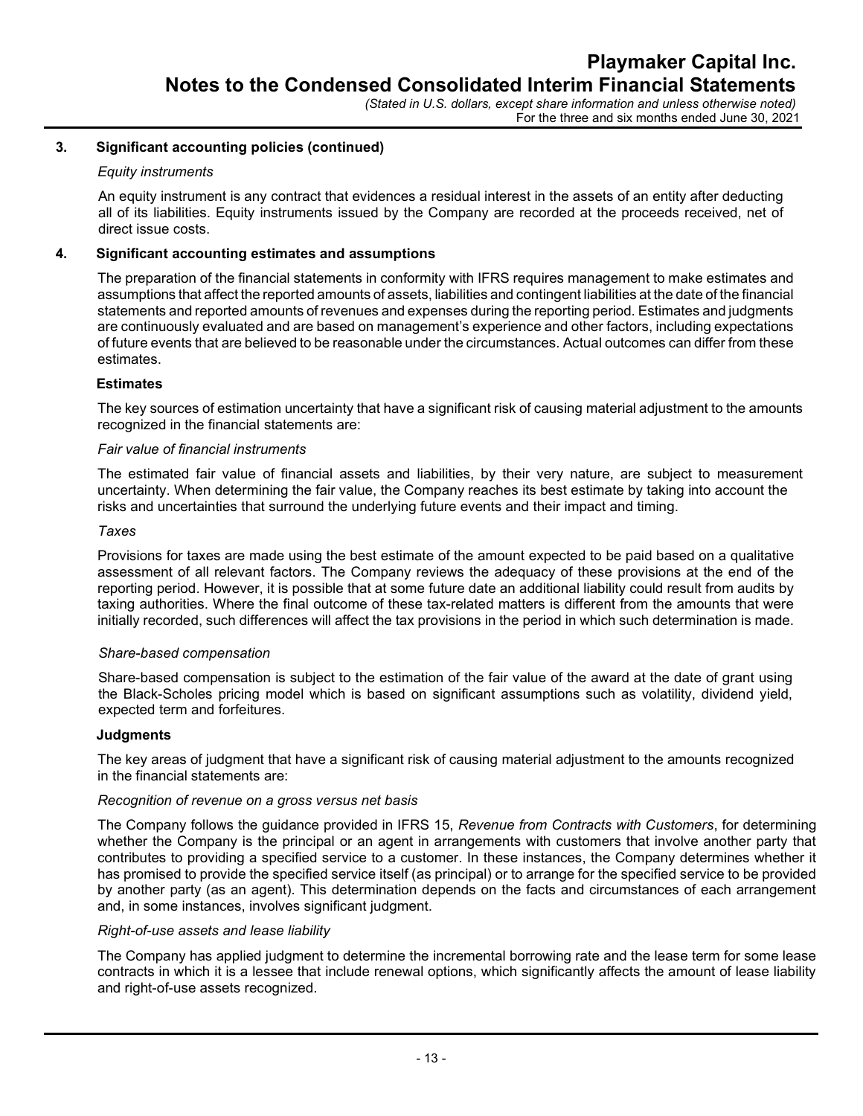For the three and six months ended June 30, 2021

## 3. Significant accounting policies (continued)

#### Equity instruments

An equity instrument is any contract that evidences a residual interest in the assets of an entity after deducting all of its liabilities. Equity instruments issued by the Company are recorded at the proceeds received, net of direct issue costs.

## 4. Significant accounting estimates and assumptions

The preparation of the financial statements in conformity with IFRS requires management to make estimates and assumptions that affect the reported amounts of assets, liabilities and contingent liabilities at the date of the financial statements and reported amounts of revenues and expenses during the reporting period. Estimates and judgments are continuously evaluated and are based on management's experience and other factors, including expectations of future events that are believed to be reasonable under the circumstances. Actual outcomes can differ from these estimates.

## **Estimates**

The key sources of estimation uncertainty that have a significant risk of causing material adjustment to the amounts recognized in the financial statements are:

#### Fair value of financial instruments

The estimated fair value of financial assets and liabilities, by their very nature, are subject to measurement uncertainty. When determining the fair value, the Company reaches its best estimate by taking into account the risks and uncertainties that surround the underlying future events and their impact and timing.

#### **Taxes**

Provisions for taxes are made using the best estimate of the amount expected to be paid based on a qualitative assessment of all relevant factors. The Company reviews the adequacy of these provisions at the end of the reporting period. However, it is possible that at some future date an additional liability could result from audits by taxing authorities. Where the final outcome of these tax-related matters is different from the amounts that were initially recorded, such differences will affect the tax provisions in the period in which such determination is made.

#### Share-based compensation

Share-based compensation is subject to the estimation of the fair value of the award at the date of grant using the Black-Scholes pricing model which is based on significant assumptions such as volatility, dividend yield, expected term and forfeitures.

#### **Judgments**

The key areas of judgment that have a significant risk of causing material adjustment to the amounts recognized in the financial statements are:

#### Recognition of revenue on a gross versus net basis

The Company follows the quidance provided in IFRS 15, Revenue from Contracts with Customers, for determining whether the Company is the principal or an agent in arrangements with customers that involve another party that contributes to providing a specified service to a customer. In these instances, the Company determines whether it has promised to provide the specified service itself (as principal) or to arrange for the specified service to be provided by another party (as an agent). This determination depends on the facts and circumstances of each arrangement and, in some instances, involves significant judgment.

## Right-of-use assets and lease liability

The Company has applied judgment to determine the incremental borrowing rate and the lease term for some lease contracts in which it is a lessee that include renewal options, which significantly affects the amount of lease liability and right-of-use assets recognized.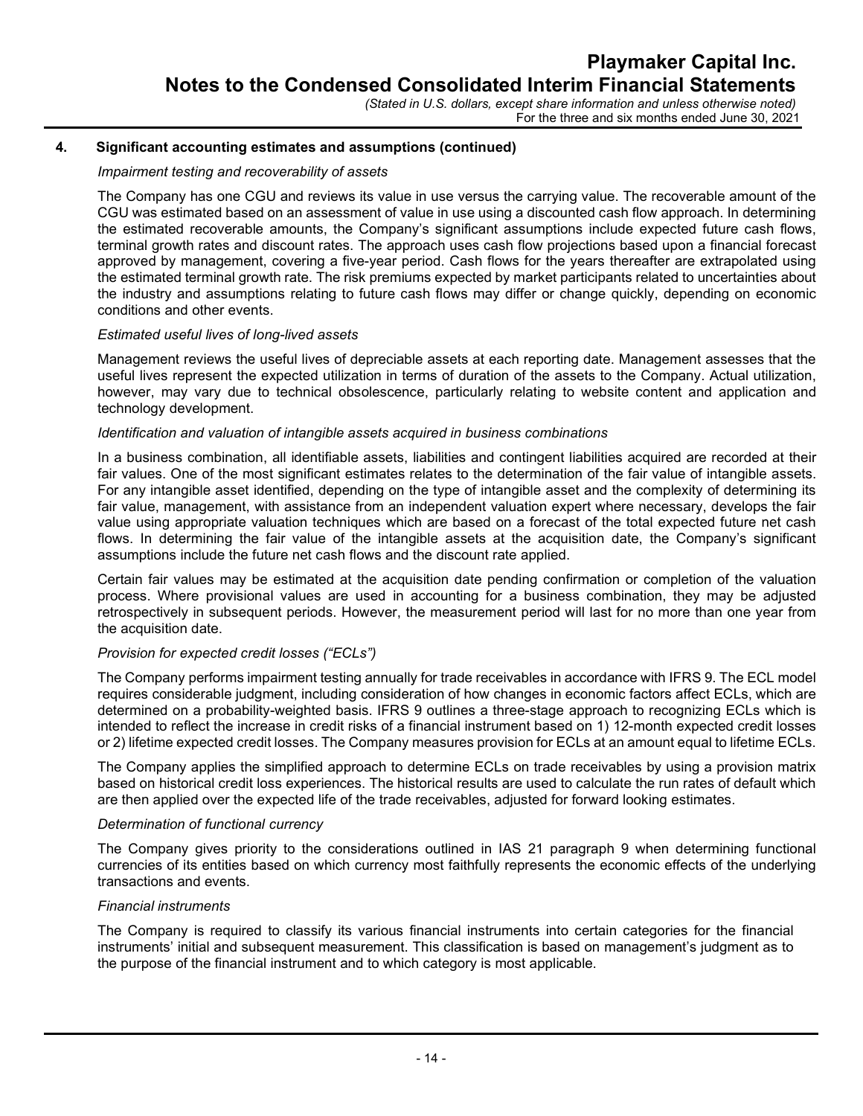## 4. Significant accounting estimates and assumptions (continued)

#### Impairment testing and recoverability of assets

The Company has one CGU and reviews its value in use versus the carrying value. The recoverable amount of the CGU was estimated based on an assessment of value in use using a discounted cash flow approach. In determining the estimated recoverable amounts, the Company's significant assumptions include expected future cash flows, terminal growth rates and discount rates. The approach uses cash flow projections based upon a financial forecast approved by management, covering a five-year period. Cash flows for the years thereafter are extrapolated using the estimated terminal growth rate. The risk premiums expected by market participants related to uncertainties about the industry and assumptions relating to future cash flows may differ or change quickly, depending on economic conditions and other events.

#### Estimated useful lives of long-lived assets

Management reviews the useful lives of depreciable assets at each reporting date. Management assesses that the useful lives represent the expected utilization in terms of duration of the assets to the Company. Actual utilization, however, may vary due to technical obsolescence, particularly relating to website content and application and technology development.

#### Identification and valuation of intangible assets acquired in business combinations

In a business combination, all identifiable assets, liabilities and contingent liabilities acquired are recorded at their fair values. One of the most significant estimates relates to the determination of the fair value of intangible assets. For any intangible asset identified, depending on the type of intangible asset and the complexity of determining its fair value, management, with assistance from an independent valuation expert where necessary, develops the fair value using appropriate valuation techniques which are based on a forecast of the total expected future net cash flows. In determining the fair value of the intangible assets at the acquisition date, the Company's significant assumptions include the future net cash flows and the discount rate applied.

Certain fair values may be estimated at the acquisition date pending confirmation or completion of the valuation process. Where provisional values are used in accounting for a business combination, they may be adjusted retrospectively in subsequent periods. However, the measurement period will last for no more than one year from the acquisition date.

#### Provision for expected credit losses ("ECLs")

The Company performs impairment testing annually for trade receivables in accordance with IFRS 9. The ECL model requires considerable judgment, including consideration of how changes in economic factors affect ECLs, which are determined on a probability-weighted basis. IFRS 9 outlines a three-stage approach to recognizing ECLs which is intended to reflect the increase in credit risks of a financial instrument based on 1) 12-month expected credit losses or 2) lifetime expected credit losses. The Company measures provision for ECLs at an amount equal to lifetime ECLs.

The Company applies the simplified approach to determine ECLs on trade receivables by using a provision matrix based on historical credit loss experiences. The historical results are used to calculate the run rates of default which are then applied over the expected life of the trade receivables, adjusted for forward looking estimates.

#### Determination of functional currency

The Company gives priority to the considerations outlined in IAS 21 paragraph 9 when determining functional currencies of its entities based on which currency most faithfully represents the economic effects of the underlying transactions and events.

### Financial instruments

The Company is required to classify its various financial instruments into certain categories for the financial instruments' initial and subsequent measurement. This classification is based on management's judgment as to the purpose of the financial instrument and to which category is most applicable.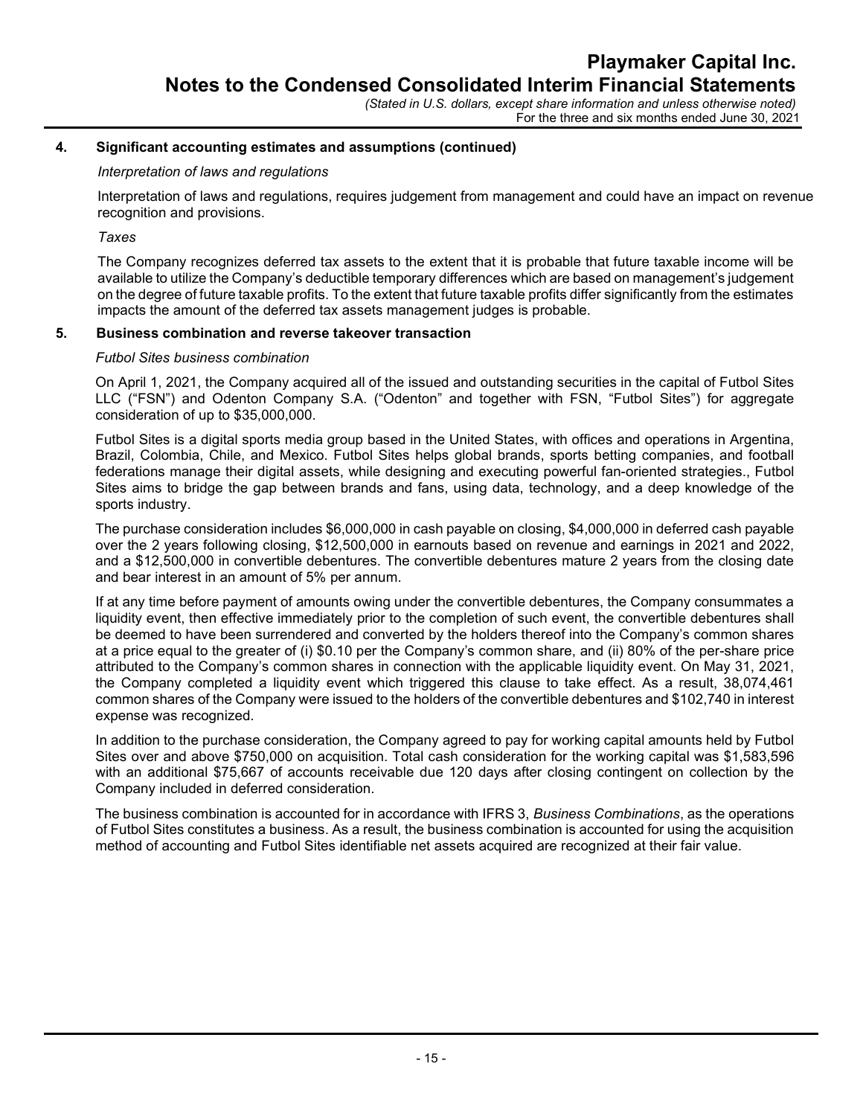## 4. Significant accounting estimates and assumptions (continued)

## Interpretation of laws and regulations

Interpretation of laws and regulations, requires judgement from management and could have an impact on revenue recognition and provisions.

Taxes

The Company recognizes deferred tax assets to the extent that it is probable that future taxable income will be available to utilize the Company's deductible temporary differences which are based on management's judgement on the degree of future taxable profits. To the extent that future taxable profits differ significantly from the estimates impacts the amount of the deferred tax assets management judges is probable.

# 5. Business combination and reverse takeover transaction

## Futbol Sites business combination

On April 1, 2021, the Company acquired all of the issued and outstanding securities in the capital of Futbol Sites LLC ("FSN") and Odenton Company S.A. ("Odenton" and together with FSN, "Futbol Sites") for aggregate consideration of up to \$35,000,000.

Futbol Sites is a digital sports media group based in the United States, with offices and operations in Argentina, Brazil, Colombia, Chile, and Mexico. Futbol Sites helps global brands, sports betting companies, and football federations manage their digital assets, while designing and executing powerful fan-oriented strategies., Futbol Sites aims to bridge the gap between brands and fans, using data, technology, and a deep knowledge of the sports industry.

The purchase consideration includes \$6,000,000 in cash payable on closing, \$4,000,000 in deferred cash payable over the 2 years following closing, \$12,500,000 in earnouts based on revenue and earnings in 2021 and 2022, and a \$12,500,000 in convertible debentures. The convertible debentures mature 2 years from the closing date and bear interest in an amount of 5% per annum.

If at any time before payment of amounts owing under the convertible debentures, the Company consummates a liquidity event, then effective immediately prior to the completion of such event, the convertible debentures shall be deemed to have been surrendered and converted by the holders thereof into the Company's common shares at a price equal to the greater of (i) \$0.10 per the Company's common share, and (ii) 80% of the per-share price attributed to the Company's common shares in connection with the applicable liquidity event. On May 31, 2021, the Company completed a liquidity event which triggered this clause to take effect. As a result, 38,074,461 common shares of the Company were issued to the holders of the convertible debentures and \$102,740 in interest expense was recognized.

In addition to the purchase consideration, the Company agreed to pay for working capital amounts held by Futbol Sites over and above \$750,000 on acquisition. Total cash consideration for the working capital was \$1,583,596 with an additional \$75,667 of accounts receivable due 120 days after closing contingent on collection by the Company included in deferred consideration.

The business combination is accounted for in accordance with IFRS 3, Business Combinations, as the operations of Futbol Sites constitutes a business. As a result, the business combination is accounted for using the acquisition method of accounting and Futbol Sites identifiable net assets acquired are recognized at their fair value.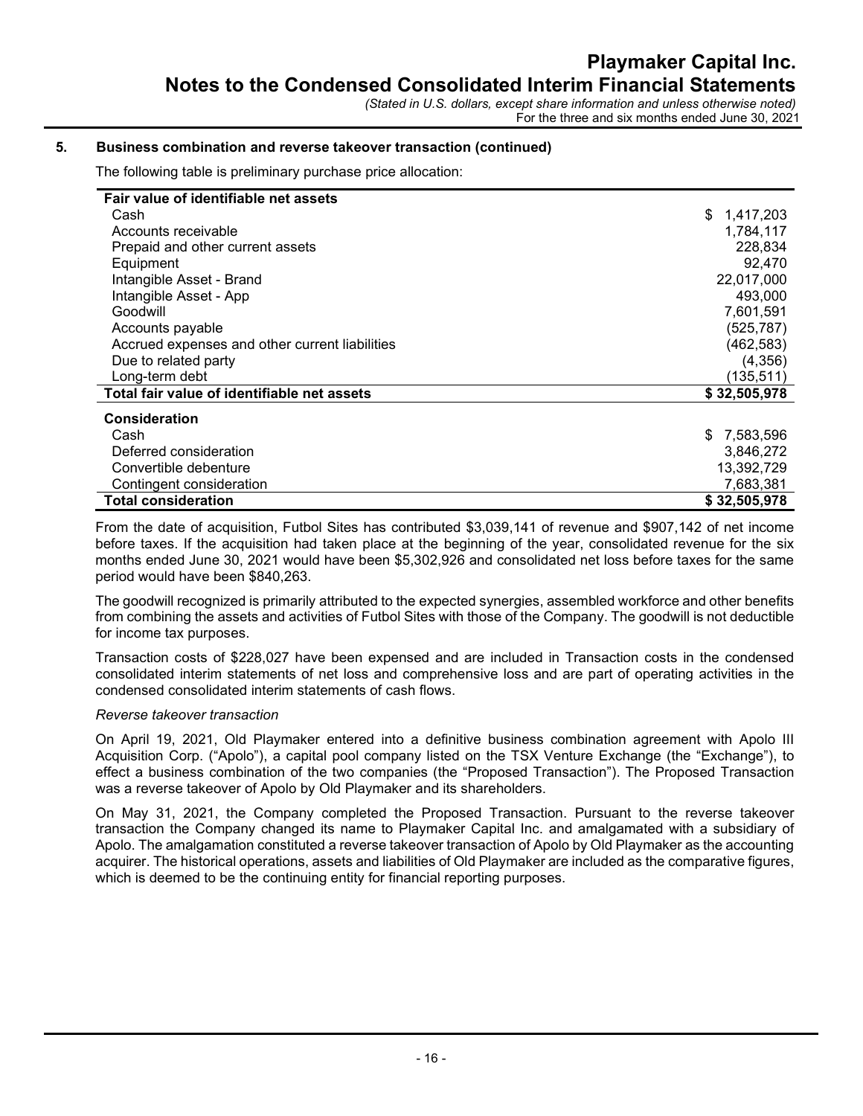### 5. Business combination and reverse takeover transaction (continued)

The following table is preliminary purchase price allocation:

| Fair value of identifiable net assets          |                  |
|------------------------------------------------|------------------|
| Cash                                           | \$<br>1,417,203  |
| Accounts receivable                            | 1,784,117        |
| Prepaid and other current assets               | 228,834          |
| Equipment                                      | 92.470           |
| Intangible Asset - Brand                       | 22,017,000       |
| Intangible Asset - App                         | 493,000          |
| Goodwill                                       | 7,601,591        |
| Accounts payable                               | (525, 787)       |
| Accrued expenses and other current liabilities | (462, 583)       |
| Due to related party                           | (4,356)          |
| Long-term debt                                 | (135, 511)       |
| Total fair value of identifiable net assets    | \$32,505,978     |
| <b>Consideration</b>                           |                  |
| Cash                                           | 7,583,596<br>\$. |
| Deferred consideration                         | 3,846,272        |
| Convertible debenture                          | 13,392,729       |
| Contingent consideration                       | 7,683,381        |
| <b>Total consideration</b>                     | \$32,505,978     |

From the date of acquisition, Futbol Sites has contributed \$3,039,141 of revenue and \$907,142 of net income before taxes. If the acquisition had taken place at the beginning of the year, consolidated revenue for the six months ended June 30, 2021 would have been \$5,302,926 and consolidated net loss before taxes for the same period would have been \$840,263.

The goodwill recognized is primarily attributed to the expected synergies, assembled workforce and other benefits from combining the assets and activities of Futbol Sites with those of the Company. The goodwill is not deductible for income tax purposes.

Transaction costs of \$228,027 have been expensed and are included in Transaction costs in the condensed consolidated interim statements of net loss and comprehensive loss and are part of operating activities in the condensed consolidated interim statements of cash flows.

#### Reverse takeover transaction

On April 19, 2021, Old Playmaker entered into a definitive business combination agreement with Apolo III Acquisition Corp. ("Apolo"), a capital pool company listed on the TSX Venture Exchange (the "Exchange"), to effect a business combination of the two companies (the "Proposed Transaction"). The Proposed Transaction was a reverse takeover of Apolo by Old Playmaker and its shareholders.

On May 31, 2021, the Company completed the Proposed Transaction. Pursuant to the reverse takeover transaction the Company changed its name to Playmaker Capital Inc. and amalgamated with a subsidiary of Apolo. The amalgamation constituted a reverse takeover transaction of Apolo by Old Playmaker as the accounting acquirer. The historical operations, assets and liabilities of Old Playmaker are included as the comparative figures, which is deemed to be the continuing entity for financial reporting purposes.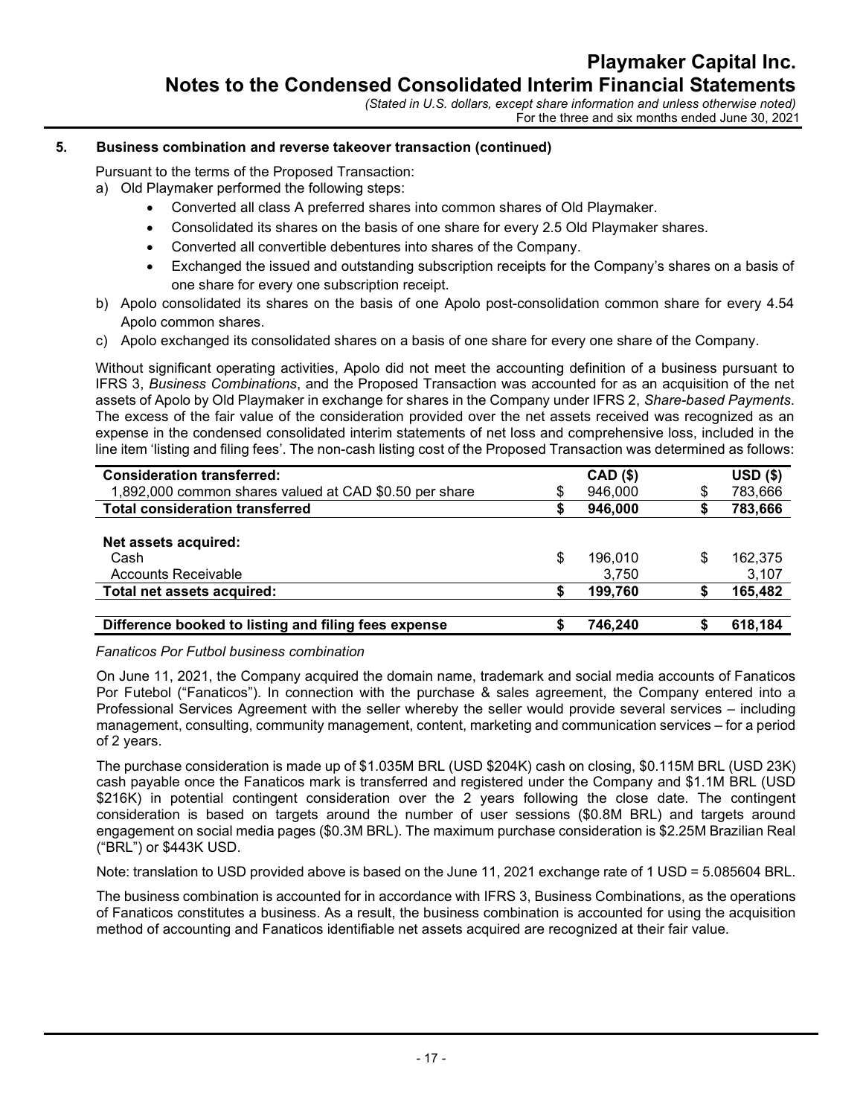# 5. Business combination and reverse takeover transaction (continued)

Pursuant to the terms of the Proposed Transaction:

- a) Old Playmaker performed the following steps:
	- Converted all class A preferred shares into common shares of Old Playmaker.
	- Consolidated its shares on the basis of one share for every 2.5 Old Playmaker shares.
	- Converted all convertible debentures into shares of the Company.
	- Exchanged the issued and outstanding subscription receipts for the Company's shares on a basis of one share for every one subscription receipt.
- b) Apolo consolidated its shares on the basis of one Apolo post-consolidation common share for every 4.54 Apolo common shares.
- c) Apolo exchanged its consolidated shares on a basis of one share for every one share of the Company.

Without significant operating activities, Apolo did not meet the accounting definition of a business pursuant to IFRS 3, Business Combinations, and the Proposed Transaction was accounted for as an acquisition of the net assets of Apolo by Old Playmaker in exchange for shares in the Company under IFRS 2, Share-based Payments. The excess of the fair value of the consideration provided over the net assets received was recognized as an expense in the condensed consolidated interim statements of net loss and comprehensive loss, included in the line item 'listing and filing fees'. The non-cash listing cost of the Proposed Transaction was determined as follows:

| <b>Consideration transferred:</b>                      | <b>CAD (\$)</b> |   | $USD($ \$) |
|--------------------------------------------------------|-----------------|---|------------|
| 1,892,000 common shares valued at CAD \$0.50 per share | \$<br>946,000   |   | 783,666    |
| <b>Total consideration transferred</b>                 | 946,000         |   | 783,666    |
|                                                        |                 |   |            |
| Net assets acquired:                                   |                 |   |            |
| Cash                                                   | \$<br>196.010   | S | 162,375    |
| <b>Accounts Receivable</b>                             | 3.750           |   | 3,107      |
| Total net assets acquired:                             | 199,760         |   | 165,482    |
|                                                        |                 |   |            |
| Difference booked to listing and filing fees expense   | 746.240         |   | 618,184    |

Fanaticos Por Futbol business combination

On June 11, 2021, the Company acquired the domain name, trademark and social media accounts of Fanaticos Por Futebol ("Fanaticos"). In connection with the purchase & sales agreement, the Company entered into a Professional Services Agreement with the seller whereby the seller would provide several services – including management, consulting, community management, content, marketing and communication services – for a period of 2 years.

The purchase consideration is made up of \$1.035M BRL (USD \$204K) cash on closing, \$0.115M BRL (USD 23K) cash payable once the Fanaticos mark is transferred and registered under the Company and \$1.1M BRL (USD \$216K) in potential contingent consideration over the 2 years following the close date. The contingent consideration is based on targets around the number of user sessions (\$0.8M BRL) and targets around engagement on social media pages (\$0.3M BRL). The maximum purchase consideration is \$2.25M Brazilian Real ("BRL") or \$443K USD.

Note: translation to USD provided above is based on the June 11, 2021 exchange rate of 1 USD = 5.085604 BRL.

The business combination is accounted for in accordance with IFRS 3, Business Combinations, as the operations of Fanaticos constitutes a business. As a result, the business combination is accounted for using the acquisition method of accounting and Fanaticos identifiable net assets acquired are recognized at their fair value.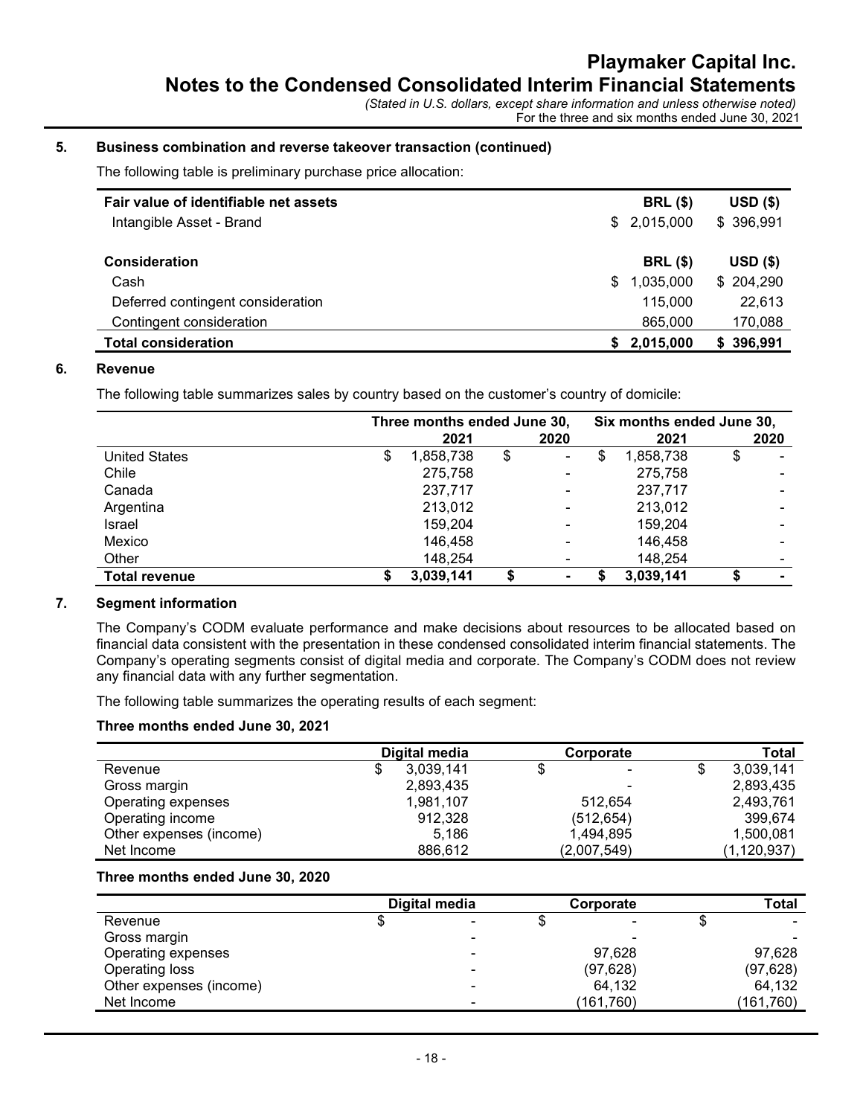## 5. Business combination and reverse takeover transaction (continued)

The following table is preliminary purchase price allocation:

| Fair value of identifiable net assets<br>Intangible Asset - Brand |   | <b>BRL (\$)</b><br>\$2,015,000 | $USD($ \$)<br>\$396,991 |
|-------------------------------------------------------------------|---|--------------------------------|-------------------------|
| Consideration                                                     |   | <b>BRL (\$)</b>                | $USD($ \$)              |
| Cash                                                              | S | 1,035,000                      | \$204,290               |
| Deferred contingent consideration                                 |   | 115,000                        | 22,613                  |
| Contingent consideration                                          |   | 865,000                        | 170,088                 |
| <b>Total consideration</b>                                        |   | 2,015,000                      | \$396,991               |

## 6. Revenue

The following table summarizes sales by country based on the customer's country of domicile:

|                      | Three months ended June 30, |           |    | Six months ended June 30, |    |           |    |      |
|----------------------|-----------------------------|-----------|----|---------------------------|----|-----------|----|------|
|                      |                             | 2021      |    | 2020                      |    | 2021      |    | 2020 |
| <b>United States</b> | \$                          | 1,858,738 | \$ | $\blacksquare$            | \$ | 1,858,738 | \$ |      |
| Chile                |                             | 275,758   |    | $\overline{\phantom{0}}$  |    | 275.758   |    |      |
| Canada               |                             | 237,717   |    |                           |    | 237.717   |    |      |
| Argentina            |                             | 213,012   |    | $\blacksquare$            |    | 213,012   |    |      |
| Israel               |                             | 159,204   |    |                           |    | 159,204   |    |      |
| Mexico               |                             | 146,458   |    |                           |    | 146,458   |    |      |
| Other                |                             | 148,254   |    |                           |    | 148,254   |    |      |
| <b>Total revenue</b> |                             | 3,039,141 | S  |                           |    | 3,039,141 |    |      |

# 7. Segment information

The Company's CODM evaluate performance and make decisions about resources to be allocated based on financial data consistent with the presentation in these condensed consolidated interim financial statements. The Company's operating segments consist of digital media and corporate. The Company's CODM does not review any financial data with any further segmentation.

The following table summarizes the operating results of each segment:

#### Three months ended June 30, 2021

|                         | Digital media  | Corporate   | <b>Total</b>    |
|-------------------------|----------------|-------------|-----------------|
| Revenue                 | 3.039.141<br>S | ۰           | \$<br>3,039,141 |
| Gross margin            | 2,893,435      |             | 2,893,435       |
| Operating expenses      | 1,981,107      | 512.654     | 2,493,761       |
| Operating income        | 912,328        | (512, 654)  | 399.674         |
| Other expenses (income) | 5.186          | 1,494,895   | 1,500,081       |
| Net Income              | 886,612        | (2,007,549) | (1, 120, 937)   |

#### Three months ended June 30, 2020

|                         | Digital media | Corporate | Total      |
|-------------------------|---------------|-----------|------------|
| Revenue                 |               |           |            |
| Gross margin            |               |           |            |
| Operating expenses      |               | 97,628    | 97,628     |
| Operating loss          |               | (97, 628) | (97, 628)  |
| Other expenses (income) |               | 64,132    | 64,132     |
| Net Income              |               | (161,760) | (161, 760) |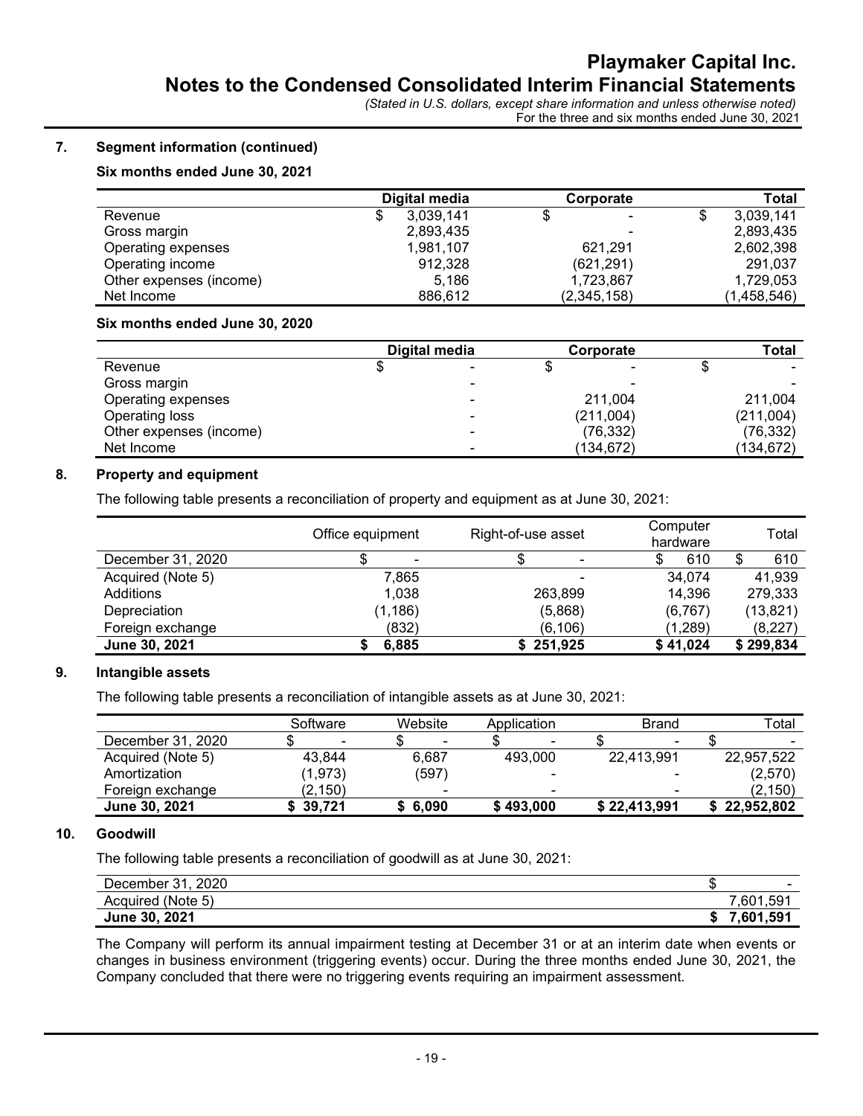# 7. Segment information (continued)

# Six months ended June 30, 2021

|                         | Digital media | Corporate   | Total           |
|-------------------------|---------------|-------------|-----------------|
| Revenue                 | 3,039,141     | ۰.          | 3,039,141<br>\$ |
| Gross margin            | 2,893,435     | ۰           | 2,893,435       |
| Operating expenses      | 1,981,107     | 621,291     | 2,602,398       |
| Operating income        | 912,328       | (621, 291)  | 291,037         |
| Other expenses (income) | 5.186         | 1,723,867   | 1,729,053       |
| Net Income              | 886,612       | (2,345,158) | (1,458,546)     |

#### Six months ended June 30, 2020

|                         | Digital media            | Corporate |   | <b>Total</b> |
|-------------------------|--------------------------|-----------|---|--------------|
| Revenue                 | $\overline{\phantom{0}}$ |           | - |              |
| Gross margin            | -                        |           | - |              |
| Operating expenses      | -                        | 211.004   |   | 211.004      |
| Operating loss          | -                        | (211,004) |   | (211,004)    |
| Other expenses (income) | -                        | (76, 332) |   | (76,332)     |
| Net Income              | -                        | (134,672) |   | (134,672)    |

## 8. Property and equipment

The following table presents a reconciliation of property and equipment as at June 30, 2021:

|                   | Office equipment | Right-of-use asset | Computer<br>hardware | Total     |
|-------------------|------------------|--------------------|----------------------|-----------|
| December 31, 2020 |                  |                    | 610                  | 610<br>S  |
| Acquired (Note 5) | 7,865            |                    | 34,074               | 41,939    |
| Additions         | 1.038            | 263,899            | 14,396               | 279,333   |
| Depreciation      | (1, 186)         | (5,868)            | (6, 767)             | (13, 821) |
| Foreign exchange  | (832)            | (6, 106)           | (1,289)              | (8,227)   |
| June 30, 2021     | 6,885            | \$251,925          | \$41,024             | \$299,834 |

#### 9. Intangible assets

The following table presents a reconciliation of intangible assets as at June 30, 2021:

|                   | Software                 | Website                  | Application              | Brand        | Total          |
|-------------------|--------------------------|--------------------------|--------------------------|--------------|----------------|
| December 31, 2020 | $\overline{\phantom{0}}$ | $\overline{\phantom{0}}$ | $\overline{\phantom{a}}$ | -            | $\blacksquare$ |
| Acquired (Note 5) | 43.844                   | 6.687                    | 493.000                  | 22,413,991   | 22,957,522     |
| Amortization      | (1, 973)                 | (597)                    | $\overline{\phantom{a}}$ |              | (2,570)        |
| Foreign exchange  | (2, 150)                 | $\overline{\phantom{0}}$ | $\blacksquare$           | -            | (2, 150)       |
| June 30, 2021     | 39.721                   | \$6.090                  | \$493,000                | \$22,413,991 | \$22,952,802   |

#### 10. Goodwill

The following table presents a reconciliation of goodwill as at June 30, 2021:

| 2020<br>$^{24}$<br>December<br>. ו שי־ | -<br>- 13                |
|----------------------------------------|--------------------------|
| (Note 5)<br>Acquired                   | ,601,591                 |
| , 2021<br><b>June 30,</b>              | 1.59'<br>C <sub>04</sub> |

The Company will perform its annual impairment testing at December 31 or at an interim date when events or changes in business environment (triggering events) occur. During the three months ended June 30, 2021, the Company concluded that there were no triggering events requiring an impairment assessment.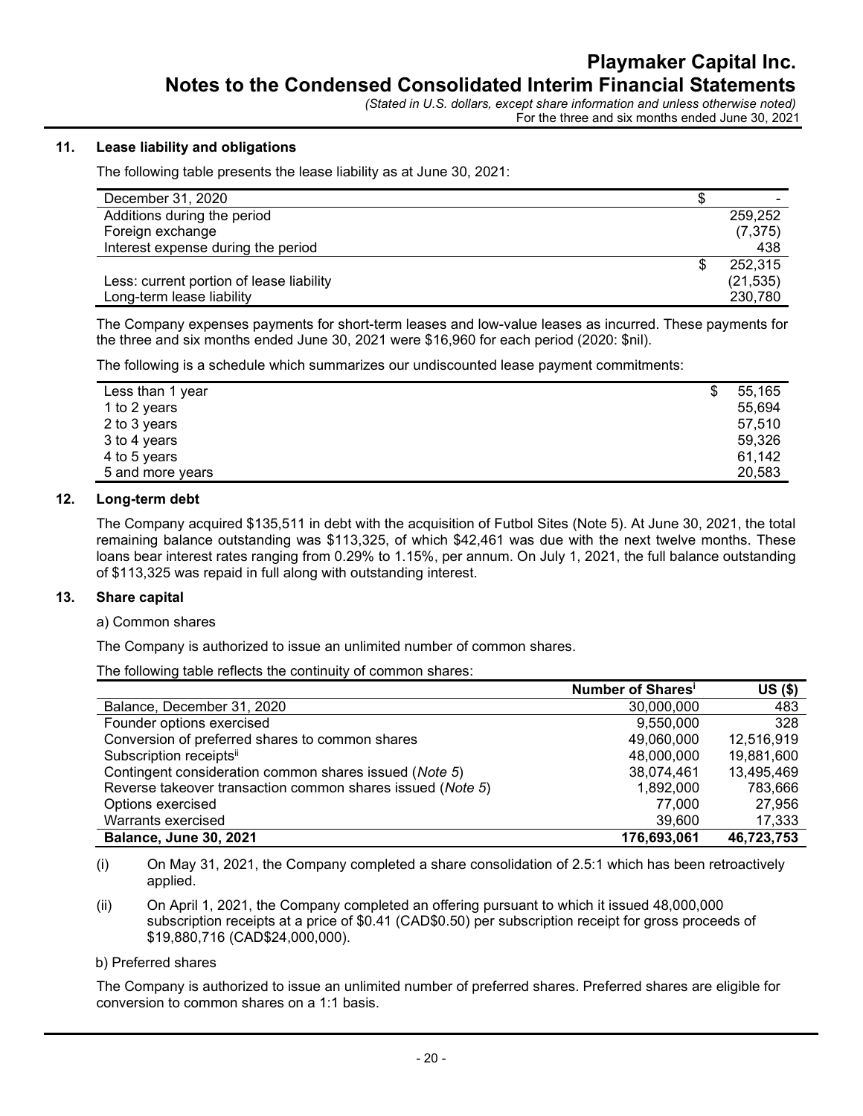# 11. Lease liability and obligations

The following table presents the lease liability as at June 30, 2021:

| December 31, 2020                        | -         |
|------------------------------------------|-----------|
| Additions during the period              | 259.252   |
| Foreign exchange                         | (7, 375)  |
| Interest expense during the period       | 438       |
|                                          | 252,315   |
| Less: current portion of lease liability | (21, 535) |
| Long-term lease liability                | 230,780   |

The Company expenses payments for short-term leases and low-value leases as incurred. These payments for the three and six months ended June 30, 2021 were \$16,960 for each period (2020: \$nil).

The following is a schedule which summarizes our undiscounted lease payment commitments:

| Less than 1 year | \$<br>55,165 |
|------------------|--------------|
| 1 to 2 years     | 55,694       |
| 2 to 3 years     | 57.510       |
| 3 to 4 years     | 59,326       |
| 4 to 5 years     | 61,142       |
| 5 and more years | 20,583       |
|                  |              |

#### 12. Long-term debt

The Company acquired \$135,511 in debt with the acquisition of Futbol Sites (Note 5). At June 30, 2021, the total remaining balance outstanding was \$113,325, of which \$42,461 was due with the next twelve months. These loans bear interest rates ranging from 0.29% to 1.15%, per annum. On July 1, 2021, the full balance outstanding of \$113,325 was repaid in full along with outstanding interest.

#### 13. Share capital

a) Common shares

The Company is authorized to issue an unlimited number of common shares.

The following table reflects the continuity of common shares:

|                                                            | Number of Shares <sup>i</sup> | $US($ \$)  |
|------------------------------------------------------------|-------------------------------|------------|
| Balance, December 31, 2020                                 | 30,000,000                    | 483        |
| Founder options exercised                                  | 9,550,000                     | 328        |
| Conversion of preferred shares to common shares            | 49,060,000                    | 12,516,919 |
| Subscription receiptsii                                    | 48,000,000                    | 19,881,600 |
| Contingent consideration common shares issued (Note 5)     | 38,074,461                    | 13,495,469 |
| Reverse takeover transaction common shares issued (Note 5) | 1,892,000                     | 783,666    |
| Options exercised                                          | 77,000                        | 27,956     |
| Warrants exercised                                         | 39,600                        | 17,333     |
| <b>Balance, June 30, 2021</b>                              | 176,693,061                   | 46,723,753 |

(i) On May 31, 2021, the Company completed a share consolidation of 2.5:1 which has been retroactively applied.

(ii) On April 1, 2021, the Company completed an offering pursuant to which it issued 48,000,000 subscription receipts at a price of \$0.41 (CAD\$0.50) per subscription receipt for gross proceeds of \$19,880,716 (CAD\$24,000,000).

b) Preferred shares

The Company is authorized to issue an unlimited number of preferred shares. Preferred shares are eligible for conversion to common shares on a 1:1 basis.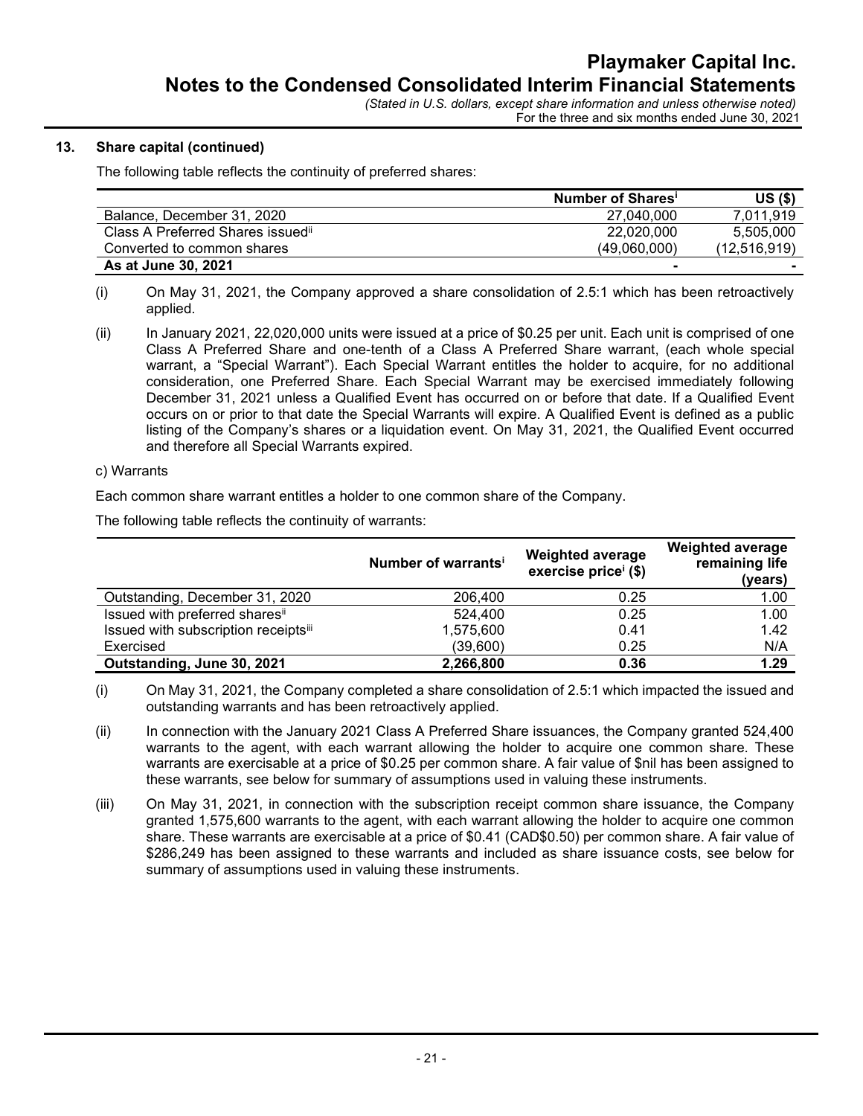### 13. Share capital (continued)

The following table reflects the continuity of preferred shares:

|                                    | Number of Shares <sup>1</sup> | $US($ \$)                |
|------------------------------------|-------------------------------|--------------------------|
| Balance, December 31, 2020         | 27.040.000                    | 7.011.919                |
| Class A Preferred Shares issued is | 22.020.000                    | 5.505.000                |
| Converted to common shares         | (49.060.000)                  | (12, 516, 919)           |
| As at June 30, 2021                | $\blacksquare$                | $\overline{\phantom{a}}$ |

<sup>(</sup>i) On May 31, 2021, the Company approved a share consolidation of 2.5:1 which has been retroactively applied.

#### c) Warrants

Each common share warrant entitles a holder to one common share of the Company.

The following table reflects the continuity of warrants:

|                                      | Number of warrants' | <b>Weighted average</b><br>exercise price <sup>i</sup> (\$) | <b>Weighted average</b><br>remaining life<br>(years) |
|--------------------------------------|---------------------|-------------------------------------------------------------|------------------------------------------------------|
| Outstanding, December 31, 2020       | 206,400             | 0.25                                                        | 1.00                                                 |
| Issued with preferred sharesii       | 524,400             | 0.25                                                        | 1.00                                                 |
| Issued with subscription receiptsiii | 1,575,600           | 0.41                                                        | 1.42                                                 |
| Exercised                            | (39,600)            | 0.25                                                        | N/A                                                  |
| Outstanding, June 30, 2021           | 2,266,800           | 0.36                                                        | 1.29                                                 |

(i) On May 31, 2021, the Company completed a share consolidation of 2.5:1 which impacted the issued and outstanding warrants and has been retroactively applied.

- (ii) In connection with the January 2021 Class A Preferred Share issuances, the Company granted 524,400 warrants to the agent, with each warrant allowing the holder to acquire one common share. These warrants are exercisable at a price of \$0.25 per common share. A fair value of \$nil has been assigned to these warrants, see below for summary of assumptions used in valuing these instruments.
- (iii) On May 31, 2021, in connection with the subscription receipt common share issuance, the Company granted 1,575,600 warrants to the agent, with each warrant allowing the holder to acquire one common share. These warrants are exercisable at a price of \$0.41 (CAD\$0.50) per common share. A fair value of \$286,249 has been assigned to these warrants and included as share issuance costs, see below for summary of assumptions used in valuing these instruments.

<sup>(</sup>ii) In January 2021, 22,020,000 units were issued at a price of \$0.25 per unit. Each unit is comprised of one Class A Preferred Share and one-tenth of a Class A Preferred Share warrant, (each whole special warrant, a "Special Warrant"). Each Special Warrant entitles the holder to acquire, for no additional consideration, one Preferred Share. Each Special Warrant may be exercised immediately following December 31, 2021 unless a Qualified Event has occurred on or before that date. If a Qualified Event occurs on or prior to that date the Special Warrants will expire. A Qualified Event is defined as a public listing of the Company's shares or a liquidation event. On May 31, 2021, the Qualified Event occurred and therefore all Special Warrants expired.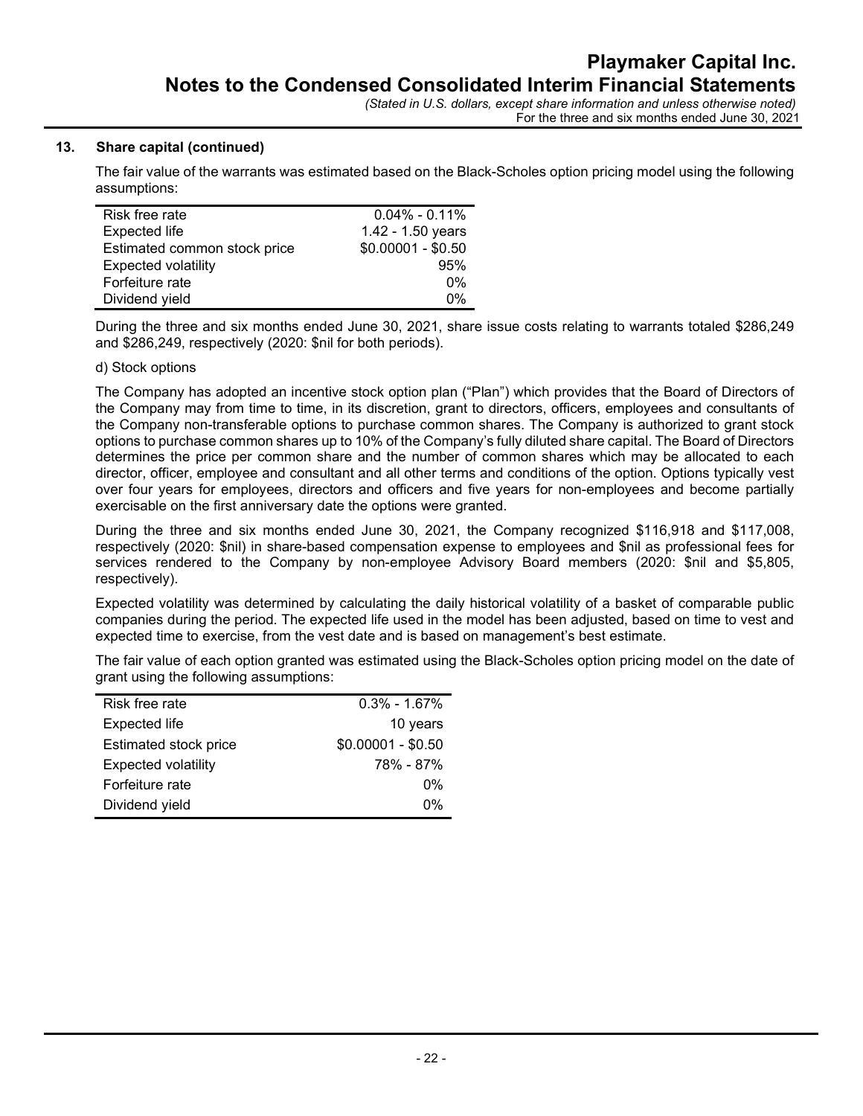## 13. Share capital (continued)

The fair value of the warrants was estimated based on the Black-Scholes option pricing model using the following assumptions:

| Risk free rate               | $0.04\% - 0.11\%$  |
|------------------------------|--------------------|
| <b>Expected life</b>         | 1.42 - 1.50 years  |
| Estimated common stock price | $$0.00001 - $0.50$ |
| <b>Expected volatility</b>   | 95%                |
| Forfeiture rate              | $0\%$              |
| Dividend yield               | 0%                 |
|                              |                    |

During the three and six months ended June 30, 2021, share issue costs relating to warrants totaled \$286,249 and \$286,249, respectively (2020: \$nil for both periods).

#### d) Stock options

The Company has adopted an incentive stock option plan ("Plan") which provides that the Board of Directors of the Company may from time to time, in its discretion, grant to directors, officers, employees and consultants of the Company non-transferable options to purchase common shares. The Company is authorized to grant stock options to purchase common shares up to 10% of the Company's fully diluted share capital. The Board of Directors determines the price per common share and the number of common shares which may be allocated to each director, officer, employee and consultant and all other terms and conditions of the option. Options typically vest over four years for employees, directors and officers and five years for non-employees and become partially exercisable on the first anniversary date the options were granted.

During the three and six months ended June 30, 2021, the Company recognized \$116,918 and \$117,008, respectively (2020: \$nil) in share-based compensation expense to employees and \$nil as professional fees for services rendered to the Company by non-employee Advisory Board members (2020: \$nil and \$5,805, respectively).

Expected volatility was determined by calculating the daily historical volatility of a basket of comparable public companies during the period. The expected life used in the model has been adjusted, based on time to vest and expected time to exercise, from the vest date and is based on management's best estimate.

The fair value of each option granted was estimated using the Black-Scholes option pricing model on the date of grant using the following assumptions:

| Risk free rate             | $0.3\% - 1.67\%$   |
|----------------------------|--------------------|
| Expected life              | 10 years           |
| Estimated stock price      | $$0.00001 - $0.50$ |
| <b>Expected volatility</b> | 78% - 87%          |
| Forfeiture rate            | 0%                 |
| Dividend yield             | በ%                 |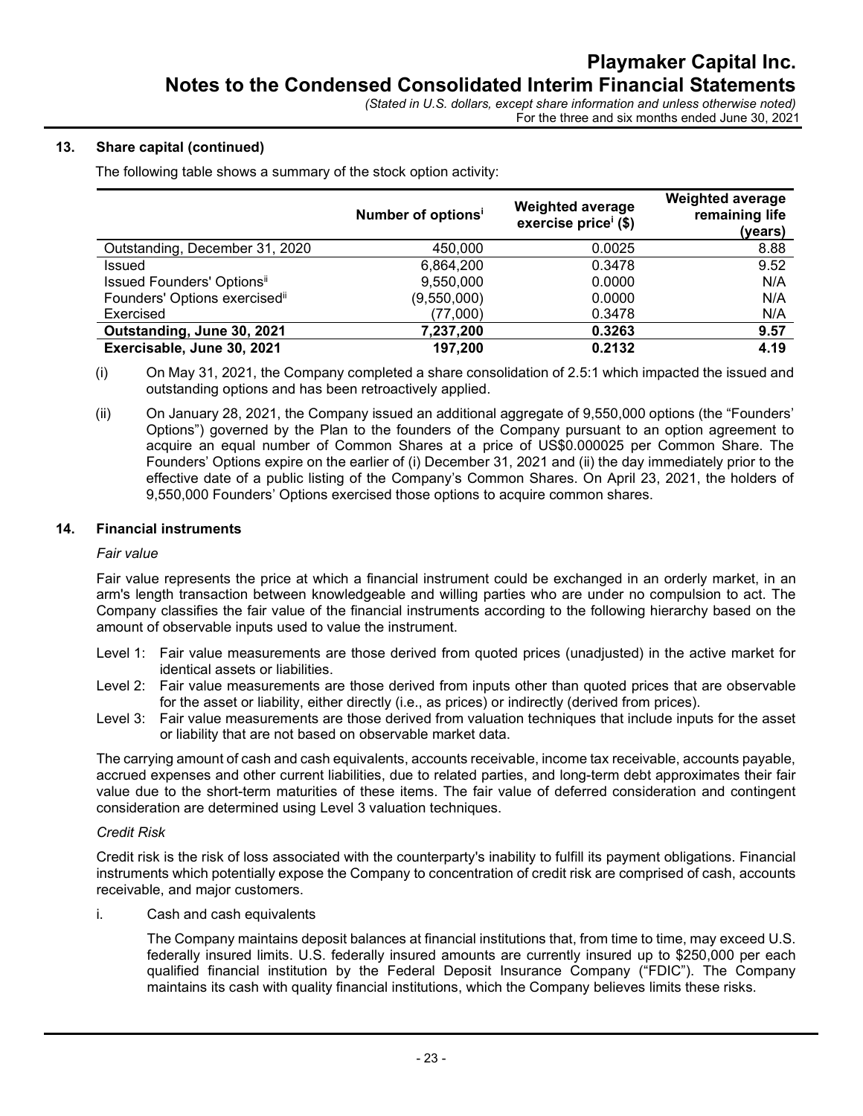## 13. Share capital (continued)

The following table shows a summary of the stock option activity:

|                                | Number of options <sup>i</sup> | <b>Weighted average</b><br>exercise price <sup>i</sup> (\$) | <b>Weighted average</b><br>remaining life<br>(years) |
|--------------------------------|--------------------------------|-------------------------------------------------------------|------------------------------------------------------|
| Outstanding, December 31, 2020 | 450.000                        | 0.0025                                                      | 8.88                                                 |
| Issued                         | 6,864,200                      | 0.3478                                                      | 9.52                                                 |
| Issued Founders' Optionsii     | 9,550,000                      | 0.0000                                                      | N/A                                                  |
| Founders' Options exercisedii  | (9,550,000)                    | 0.0000                                                      | N/A                                                  |
| Exercised                      | (77,000)                       | 0.3478                                                      | N/A                                                  |
| Outstanding, June 30, 2021     | 7,237,200                      | 0.3263                                                      | 9.57                                                 |
| Exercisable, June 30, 2021     | 197,200                        | 0.2132                                                      | 4.19                                                 |

(i) On May 31, 2021, the Company completed a share consolidation of 2.5:1 which impacted the issued and outstanding options and has been retroactively applied.

(ii) On January 28, 2021, the Company issued an additional aggregate of 9,550,000 options (the "Founders' Options") governed by the Plan to the founders of the Company pursuant to an option agreement to acquire an equal number of Common Shares at a price of US\$0.000025 per Common Share. The Founders' Options expire on the earlier of (i) December 31, 2021 and (ii) the day immediately prior to the effective date of a public listing of the Company's Common Shares. On April 23, 2021, the holders of 9,550,000 Founders' Options exercised those options to acquire common shares.

#### 14. Financial instruments

#### Fair value

Fair value represents the price at which a financial instrument could be exchanged in an orderly market, in an arm's length transaction between knowledgeable and willing parties who are under no compulsion to act. The Company classifies the fair value of the financial instruments according to the following hierarchy based on the amount of observable inputs used to value the instrument.

- Level 1: Fair value measurements are those derived from quoted prices (unadjusted) in the active market for identical assets or liabilities.
- Level 2: Fair value measurements are those derived from inputs other than quoted prices that are observable for the asset or liability, either directly (i.e., as prices) or indirectly (derived from prices).
- Level 3: Fair value measurements are those derived from valuation techniques that include inputs for the asset or liability that are not based on observable market data.

The carrying amount of cash and cash equivalents, accounts receivable, income tax receivable, accounts payable, accrued expenses and other current liabilities, due to related parties, and long-term debt approximates their fair value due to the short-term maturities of these items. The fair value of deferred consideration and contingent consideration are determined using Level 3 valuation techniques.

#### Credit Risk

Credit risk is the risk of loss associated with the counterparty's inability to fulfill its payment obligations. Financial instruments which potentially expose the Company to concentration of credit risk are comprised of cash, accounts receivable, and major customers.

i. Cash and cash equivalents

The Company maintains deposit balances at financial institutions that, from time to time, may exceed U.S. federally insured limits. U.S. federally insured amounts are currently insured up to \$250,000 per each qualified financial institution by the Federal Deposit Insurance Company ("FDIC"). The Company maintains its cash with quality financial institutions, which the Company believes limits these risks.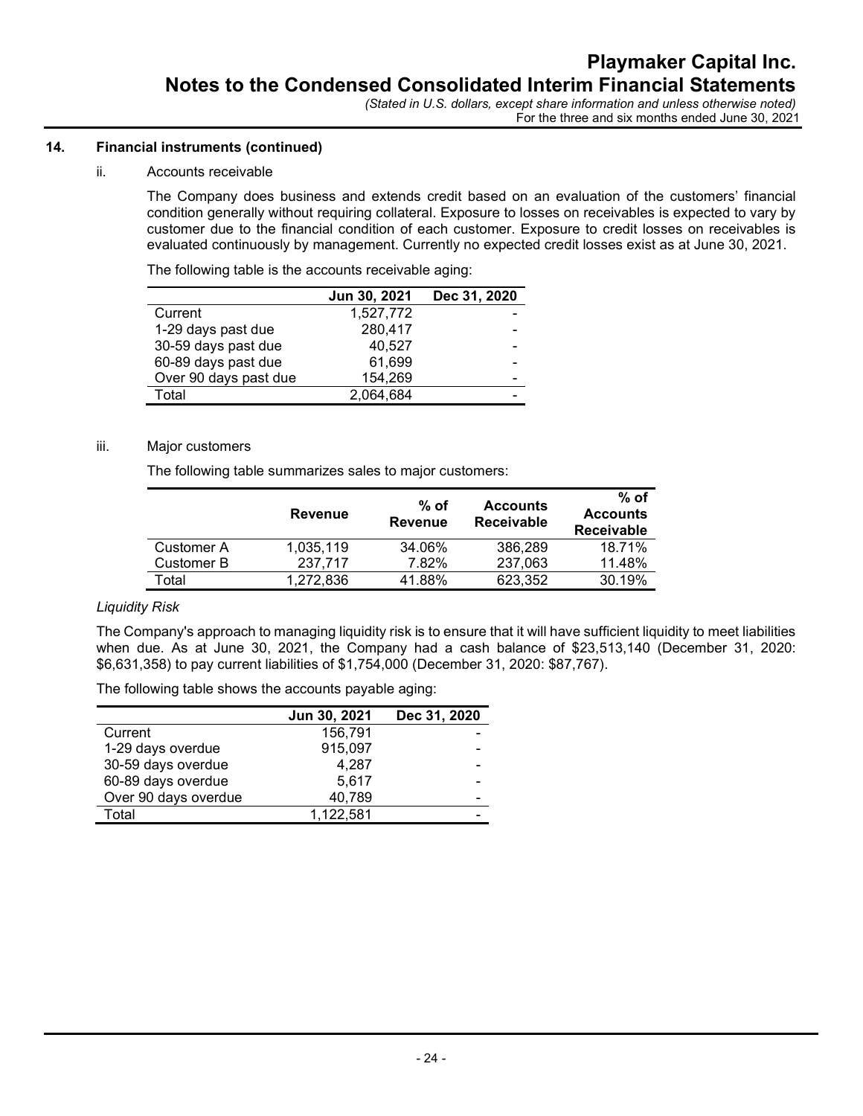# 14. Financial instruments (continued)

### ii. Accounts receivable

The Company does business and extends credit based on an evaluation of the customers' financial condition generally without requiring collateral. Exposure to losses on receivables is expected to vary by customer due to the financial condition of each customer. Exposure to credit losses on receivables is evaluated continuously by management. Currently no expected credit losses exist as at June 30, 2021.

The following table is the accounts receivable aging:

|                       | Jun 30, 2021 | Dec 31, 2020 |
|-----------------------|--------------|--------------|
| Current               | 1,527,772    |              |
| 1-29 days past due    | 280,417      |              |
| 30-59 days past due   | 40,527       |              |
| 60-89 days past due   | 61,699       |              |
| Over 90 days past due | 154,269      |              |
| Total                 | 2,064,684    |              |

## iii. Major customers

The following table summarizes sales to major customers:

|                   | Revenue   | $%$ of<br>Revenue | <b>Accounts</b><br><b>Receivable</b> | $%$ of<br><b>Accounts</b><br><b>Receivable</b> |
|-------------------|-----------|-------------------|--------------------------------------|------------------------------------------------|
| <b>Customer A</b> | 1.035.119 | 34.06%            | 386.289                              | 18.71%                                         |
| Customer B        | 237.717   | 7.82%             | 237,063                              | 11.48%                                         |
| Total             | 1.272.836 | 41.88%            | 623.352                              | 30.19%                                         |

# Liquidity Risk

The Company's approach to managing liquidity risk is to ensure that it will have sufficient liquidity to meet liabilities when due. As at June 30, 2021, the Company had a cash balance of \$23,513,140 (December 31, 2020: \$6,631,358) to pay current liabilities of \$1,754,000 (December 31, 2020: \$87,767).

The following table shows the accounts payable aging:

|                      | Jun 30, 2021 | Dec 31, 2020 |
|----------------------|--------------|--------------|
| Current              | 156.791      |              |
| 1-29 days overdue    | 915,097      |              |
| 30-59 days overdue   | 4.287        |              |
| 60-89 days overdue   | 5,617        |              |
| Over 90 days overdue | 40,789       | -            |
| Total                | 1,122,581    |              |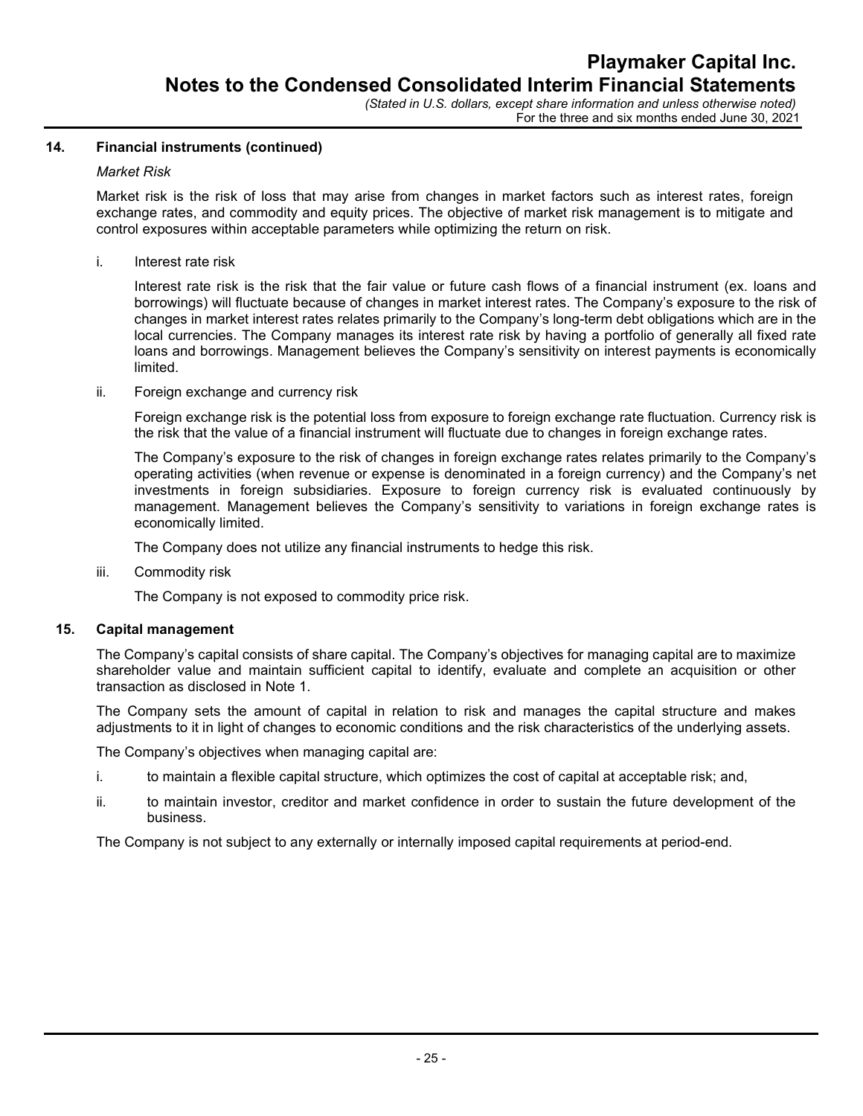For the three and six months ended June 30, 2021

# 14. Financial instruments (continued)

### Market Risk

Market risk is the risk of loss that may arise from changes in market factors such as interest rates, foreign exchange rates, and commodity and equity prices. The objective of market risk management is to mitigate and control exposures within acceptable parameters while optimizing the return on risk.

i. Interest rate risk

Interest rate risk is the risk that the fair value or future cash flows of a financial instrument (ex. loans and borrowings) will fluctuate because of changes in market interest rates. The Company's exposure to the risk of changes in market interest rates relates primarily to the Company's long-term debt obligations which are in the local currencies. The Company manages its interest rate risk by having a portfolio of generally all fixed rate loans and borrowings. Management believes the Company's sensitivity on interest payments is economically limited.

ii. Foreign exchange and currency risk

Foreign exchange risk is the potential loss from exposure to foreign exchange rate fluctuation. Currency risk is the risk that the value of a financial instrument will fluctuate due to changes in foreign exchange rates.

The Company's exposure to the risk of changes in foreign exchange rates relates primarily to the Company's operating activities (when revenue or expense is denominated in a foreign currency) and the Company's net investments in foreign subsidiaries. Exposure to foreign currency risk is evaluated continuously by management. Management believes the Company's sensitivity to variations in foreign exchange rates is economically limited.

The Company does not utilize any financial instruments to hedge this risk.

iii. Commodity risk

The Company is not exposed to commodity price risk.

#### 15. Capital management

The Company's capital consists of share capital. The Company's objectives for managing capital are to maximize shareholder value and maintain sufficient capital to identify, evaluate and complete an acquisition or other transaction as disclosed in Note 1.

The Company sets the amount of capital in relation to risk and manages the capital structure and makes adjustments to it in light of changes to economic conditions and the risk characteristics of the underlying assets.

The Company's objectives when managing capital are:

- i. to maintain a flexible capital structure, which optimizes the cost of capital at acceptable risk; and,
- ii. to maintain investor, creditor and market confidence in order to sustain the future development of the business.

The Company is not subject to any externally or internally imposed capital requirements at period-end.